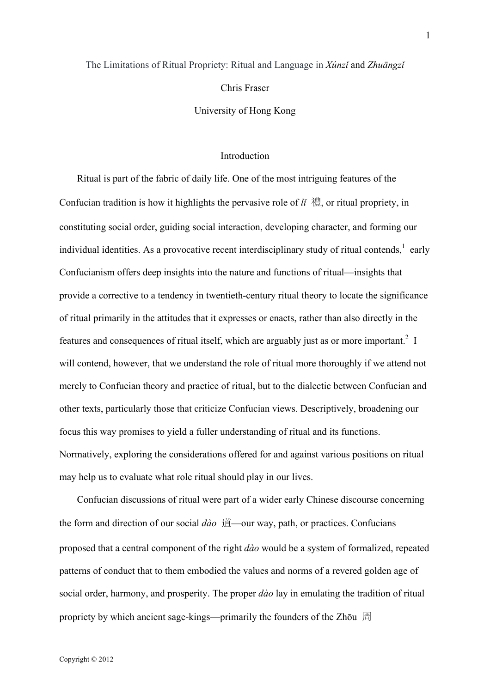# The Limitations of Ritual Propriety: Ritual and Language in *Xúnzǐ* and *Zhuāngzǐ* Chris Fraser University of Hong Kong

#### Introduction

Ritual is part of the fabric of daily life. One of the most intriguing features of the Confucian tradition is how it highlights the pervasive role of *lǐ* 禮, or ritual propriety, in constituting social order, guiding social interaction, developing character, and forming our individual identities. As a provocative recent interdisciplinary study of ritual contends,  $\frac{1}{1}$  early Confucianism offers deep insights into the nature and functions of ritual—insights that provide a corrective to a tendency in twentieth-century ritual theory to locate the significance of ritual primarily in the attitudes that it expresses or enacts, rather than also directly in the features and consequences of ritual itself, which are arguably just as or more important.<sup>2</sup> I will contend, however, that we understand the role of ritual more thoroughly if we attend not merely to Confucian theory and practice of ritual, but to the dialectic between Confucian and other texts, particularly those that criticize Confucian views. Descriptively, broadening our focus this way promises to yield a fuller understanding of ritual and its functions. Normatively, exploring the considerations offered for and against various positions on ritual may help us to evaluate what role ritual should play in our lives.

Confucian discussions of ritual were part of a wider early Chinese discourse concerning the form and direction of our social *dào* 道—our way, path, or practices. Confucians proposed that a central component of the right *dào* would be a system of formalized, repeated patterns of conduct that to them embodied the values and norms of a revered golden age of social order, harmony, and prosperity. The proper *dào* lay in emulating the tradition of ritual propriety by which ancient sage-kings—primarily the founders of the Zhōu 周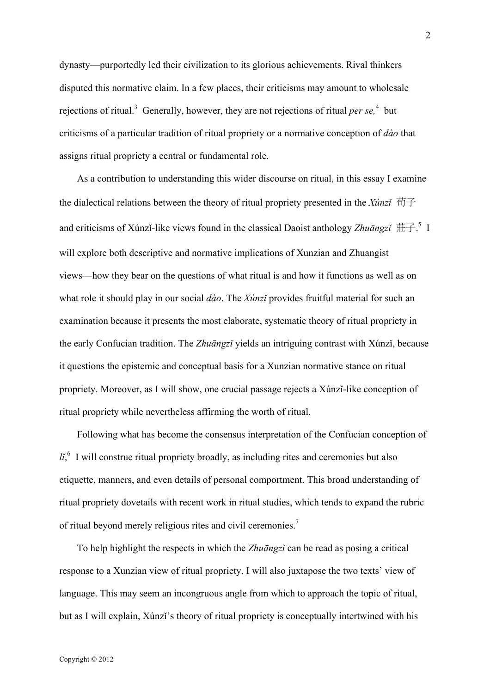dynasty—purportedly led their civilization to its glorious achievements. Rival thinkers disputed this normative claim. In a few places, their criticisms may amount to wholesale rejections of ritual.<sup>3</sup> Generally, however, they are not rejections of ritual *per se*,<sup>4</sup> but criticisms of a particular tradition of ritual propriety or a normative conception of *dào* that assigns ritual propriety a central or fundamental role.

As a contribution to understanding this wider discourse on ritual, in this essay I examine the dialectical relations between the theory of ritual propriety presented in the *Xúnzǐ* 荀子 and criticisms of Xúnzi-like views found in the classical Daoist anthology *Zhuāngzǐ* 莊子<sup>5</sup> I will explore both descriptive and normative implications of Xunzian and Zhuangist views—how they bear on the questions of what ritual is and how it functions as well as on what role it should play in our social *dào*. The *Xúnzǐ* provides fruitful material for such an examination because it presents the most elaborate, systematic theory of ritual propriety in the early Confucian tradition. The *Zhuāngzǐ* yields an intriguing contrast with Xúnzǐ, because it questions the epistemic and conceptual basis for a Xunzian normative stance on ritual propriety. Moreover, as I will show, one crucial passage rejects a Xúnzǐ-like conception of ritual propriety while nevertheless affirming the worth of ritual.

Following what has become the consensus interpretation of the Confucian conception of  $li<sub>i</sub>$ <sup>6</sup> I will construe ritual propriety broadly, as including rites and ceremonies but also etiquette, manners, and even details of personal comportment. This broad understanding of ritual propriety dovetails with recent work in ritual studies, which tends to expand the rubric of ritual beyond merely religious rites and civil ceremonies.<sup>7</sup>

To help highlight the respects in which the *Zhuāngzǐ* can be read as posing a critical response to a Xunzian view of ritual propriety, I will also juxtapose the two texts' view of language. This may seem an incongruous angle from which to approach the topic of ritual, but as I will explain, Xúnzi's theory of ritual propriety is conceptually intertwined with his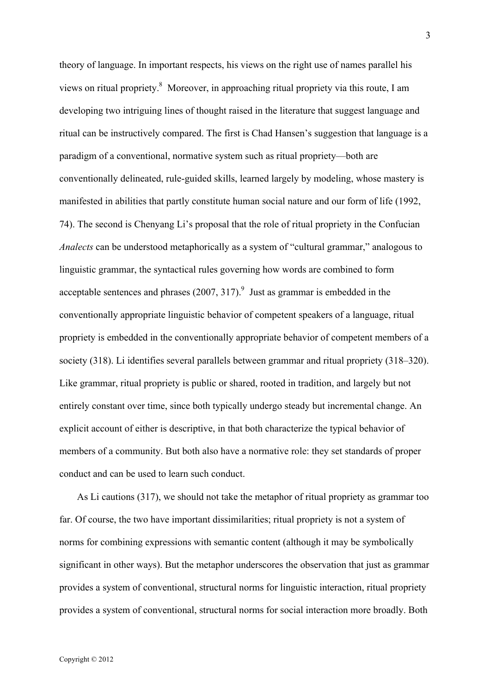theory of language. In important respects, his views on the right use of names parallel his views on ritual propriety.<sup>8</sup> Moreover, in approaching ritual propriety via this route, I am developing two intriguing lines of thought raised in the literature that suggest language and ritual can be instructively compared. The first is Chad Hansen's suggestion that language is a paradigm of a conventional, normative system such as ritual propriety—both are conventionally delineated, rule-guided skills, learned largely by modeling, whose mastery is manifested in abilities that partly constitute human social nature and our form of life (1992, 74). The second is Chenyang Li's proposal that the role of ritual propriety in the Confucian *Analects* can be understood metaphorically as a system of "cultural grammar," analogous to linguistic grammar, the syntactical rules governing how words are combined to form acceptable sentences and phrases  $(2007, 317)$ .<sup>9</sup> Just as grammar is embedded in the conventionally appropriate linguistic behavior of competent speakers of a language, ritual propriety is embedded in the conventionally appropriate behavior of competent members of a society (318). Li identifies several parallels between grammar and ritual propriety (318–320). Like grammar, ritual propriety is public or shared, rooted in tradition, and largely but not entirely constant over time, since both typically undergo steady but incremental change. An explicit account of either is descriptive, in that both characterize the typical behavior of members of a community. But both also have a normative role: they set standards of proper conduct and can be used to learn such conduct.

As Li cautions (317), we should not take the metaphor of ritual propriety as grammar too far. Of course, the two have important dissimilarities; ritual propriety is not a system of norms for combining expressions with semantic content (although it may be symbolically significant in other ways). But the metaphor underscores the observation that just as grammar provides a system of conventional, structural norms for linguistic interaction, ritual propriety provides a system of conventional, structural norms for social interaction more broadly. Both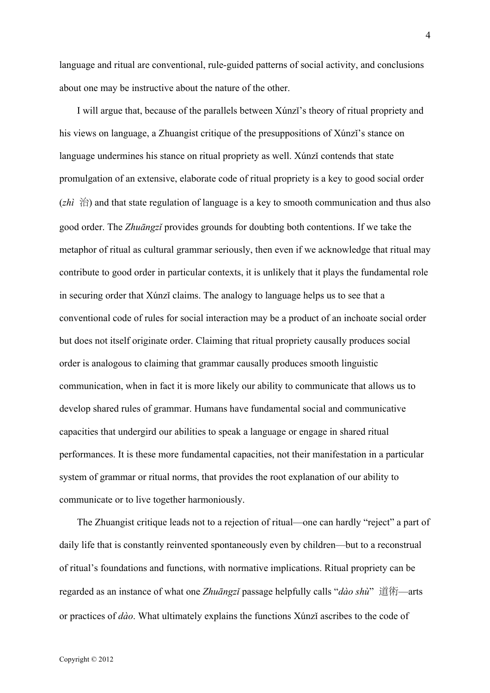language and ritual are conventional, rule-guided patterns of social activity, and conclusions about one may be instructive about the nature of the other.

I will argue that, because of the parallels between Xúnzǐ's theory of ritual propriety and his views on language, a Zhuangist critique of the presuppositions of Xúnzi's stance on language undermines his stance on ritual propriety as well. Xúnzi contends that state promulgation of an extensive, elaborate code of ritual propriety is a key to good social order  $(zhi \nleftrightarrow \hat{z})$  and that state regulation of language is a key to smooth communication and thus also good order. The *Zhuāngzǐ* provides grounds for doubting both contentions. If we take the metaphor of ritual as cultural grammar seriously, then even if we acknowledge that ritual may contribute to good order in particular contexts, it is unlikely that it plays the fundamental role in securing order that Xúnzǐ claims. The analogy to language helps us to see that a conventional code of rules for social interaction may be a product of an inchoate social order but does not itself originate order. Claiming that ritual propriety causally produces social order is analogous to claiming that grammar causally produces smooth linguistic communication, when in fact it is more likely our ability to communicate that allows us to develop shared rules of grammar. Humans have fundamental social and communicative capacities that undergird our abilities to speak a language or engage in shared ritual performances. It is these more fundamental capacities, not their manifestation in a particular system of grammar or ritual norms, that provides the root explanation of our ability to communicate or to live together harmoniously.

The Zhuangist critique leads not to a rejection of ritual—one can hardly "reject" a part of daily life that is constantly reinvented spontaneously even by children—but to a reconstrual of ritual's foundations and functions, with normative implications. Ritual propriety can be regarded as an instance of what one *Zhuāngzǐ* passage helpfully calls "*dào shù*" 道術—arts or practices of *dào*. What ultimately explains the functions Xúnzǐ ascribes to the code of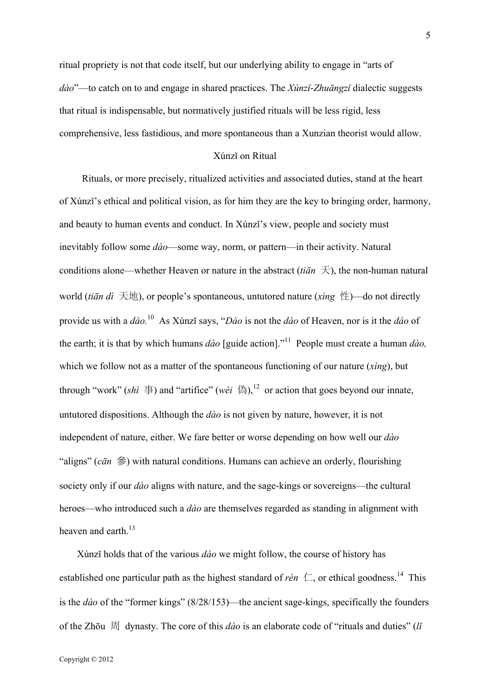ritual propriety is not that code itself, but our underlying ability to engage in "arts of *dào*"—to catch on to and engage in shared practices. The *Xúnzǐ*-*Zhuāngzǐ* dialectic suggests that ritual is indispensable, but normatively justified rituals will be less rigid, less comprehensive, less fastidious, and more spontaneous than a Xunzian theorist would allow.

# Xúnzǐ on Ritual

 Rituals, or more precisely, ritualized activities and associated duties, stand at the heart of Xúnzǐ's ethical and political vision, as for him they are the key to bringing order, harmony, and beauty to human events and conduct. In Xúnzǐ's view, people and society must inevitably follow some *dào*—some way, norm, or pattern—in their activity. Natural conditions alone—whether Heaven or nature in the abstract ( $ti\bar{a}n \neq$ ), the non-human natural world (*tiān dì* 天地), or people's spontaneous, untutored nature (*xìng* 性)—do not directly provide us with a *dào.* 10 As Xúnzǐ says, "*Dào* is not the *dào* of Heaven, nor is it the *dào* of the earth; it is that by which humans *dào* [guide action]." 11 People must create a human *dào,*  which we follow not as a matter of the spontaneous functioning of our nature (*xìng*), but through "work"  $(shi \nvert \nvert$  and "artifice"  $(wèi \nvert \nvert \nvert)$ <sup>12</sup> or action that goes beyond our innate, untutored dispositions. Although the *dào* is not given by nature, however, it is not independent of nature, either. We fare better or worse depending on how well our *dào* "aligns" (*cān* 參) with natural conditions. Humans can achieve an orderly, flourishing society only if our *dào* aligns with nature, and the sage-kings or sovereigns—the cultural heroes—who introduced such a *dào* are themselves regarded as standing in alignment with heaven and earth.<sup>13</sup>

Xúnzǐ holds that of the various *dào* we might follow, the course of history has established one particular path as the highest standard of *rén*  $\Box$ , or ethical goodness.<sup>14</sup> This is the *dào* of the "former kings" (8/28/153)—the ancient sage-kings, specifically the founders of the Zhōu 周 dynasty. The core of this *dào* is an elaborate code of "rituals and duties" (*lǐ*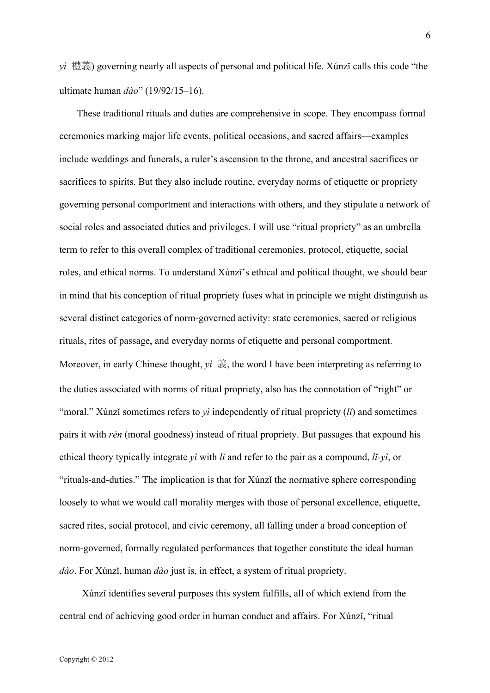$\vec{y}$  禮義) governing nearly all aspects of personal and political life. Xúnzǐ calls this code "the ultimate human *dào*" (19/92/15–16).

These traditional rituals and duties are comprehensive in scope. They encompass formal ceremonies marking major life events, political occasions, and sacred affairs—examples include weddings and funerals, a ruler's ascension to the throne, and ancestral sacrifices or sacrifices to spirits. But they also include routine, everyday norms of etiquette or propriety governing personal comportment and interactions with others, and they stipulate a network of social roles and associated duties and privileges. I will use "ritual propriety" as an umbrella term to refer to this overall complex of traditional ceremonies, protocol, etiquette, social roles, and ethical norms. To understand Xúnzǐ's ethical and political thought, we should bear in mind that his conception of ritual propriety fuses what in principle we might distinguish as several distinct categories of norm-governed activity: state ceremonies, sacred or religious rituals, rites of passage, and everyday norms of etiquette and personal comportment. Moreover, in early Chinese thought, *yì* 義, the word I have been interpreting as referring to the duties associated with norms of ritual propriety, also has the connotation of "right" or "moral." Xúnzǐ sometimes refers to *yì* independently of ritual propriety (*lǐ*) and sometimes pairs it with *rén* (moral goodness) instead of ritual propriety. But passages that expound his ethical theory typically integrate *yì* with *lǐ* and refer to the pair as a compound, *lǐ-yì*, or "rituals-and-duties." The implication is that for Xúnzǐ the normative sphere corresponding loosely to what we would call morality merges with those of personal excellence, etiquette, sacred rites, social protocol, and civic ceremony, all falling under a broad conception of norm-governed, formally regulated performances that together constitute the ideal human *dào*. For Xúnzǐ, human *dào* just is, in effect, a system of ritual propriety.

 Xúnzǐ identifies several purposes this system fulfills, all of which extend from the central end of achieving good order in human conduct and affairs. For Xúnzǐ, "ritual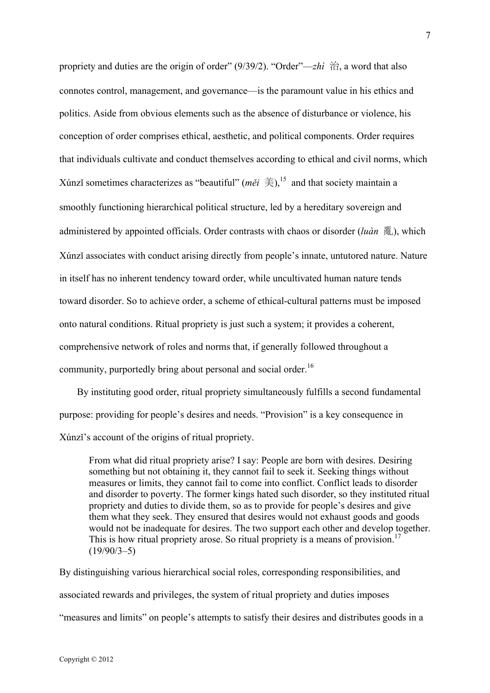propriety and duties are the origin of order"  $(9/39/2)$ . "Order"—*zhì* 治, a word that also connotes control, management, and governance—is the paramount value in his ethics and politics. Aside from obvious elements such as the absence of disturbance or violence, his conception of order comprises ethical, aesthetic, and political components. Order requires that individuals cultivate and conduct themselves according to ethical and civil norms, which Xúnzi sometimes characterizes as "beautiful" ( $m\tilde{e}i \notin \tilde{e}$ ),  $\tilde{e}^{15}$  and that society maintain a smoothly functioning hierarchical political structure, led by a hereditary sovereign and administered by appointed officials. Order contrasts with chaos or disorder (*luàn* 亂), which Xúnzǐ associates with conduct arising directly from people's innate, untutored nature. Nature in itself has no inherent tendency toward order, while uncultivated human nature tends toward disorder. So to achieve order, a scheme of ethical-cultural patterns must be imposed onto natural conditions. Ritual propriety is just such a system; it provides a coherent, comprehensive network of roles and norms that, if generally followed throughout a community, purportedly bring about personal and social order.<sup>16</sup>

By instituting good order, ritual propriety simultaneously fulfills a second fundamental purpose: providing for people's desires and needs. "Provision" is a key consequence in Xúnzǐ's account of the origins of ritual propriety.

From what did ritual propriety arise? I say: People are born with desires. Desiring something but not obtaining it, they cannot fail to seek it. Seeking things without measures or limits, they cannot fail to come into conflict. Conflict leads to disorder and disorder to poverty. The former kings hated such disorder, so they instituted ritual propriety and duties to divide them, so as to provide for people's desires and give them what they seek. They ensured that desires would not exhaust goods and goods would not be inadequate for desires. The two support each other and develop together. This is how ritual propriety arose. So ritual propriety is a means of provision.<sup>17</sup>  $(19/90/3-5)$ 

By distinguishing various hierarchical social roles, corresponding responsibilities, and associated rewards and privileges, the system of ritual propriety and duties imposes "measures and limits" on people's attempts to satisfy their desires and distributes goods in a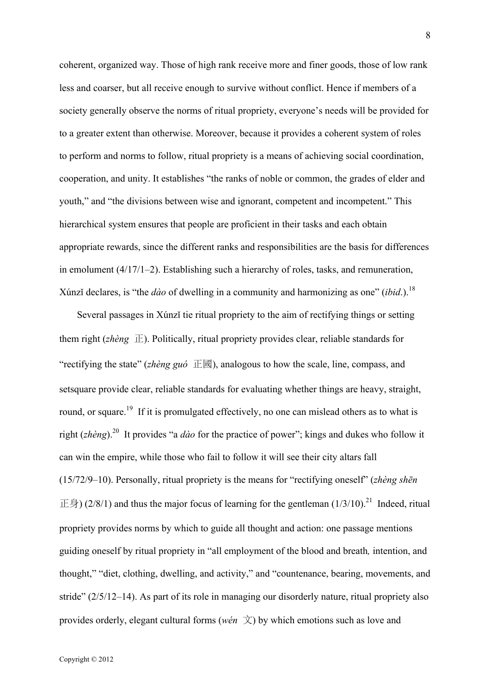coherent, organized way. Those of high rank receive more and finer goods, those of low rank less and coarser, but all receive enough to survive without conflict. Hence if members of a society generally observe the norms of ritual propriety, everyone's needs will be provided for to a greater extent than otherwise. Moreover, because it provides a coherent system of roles to perform and norms to follow, ritual propriety is a means of achieving social coordination, cooperation, and unity. It establishes "the ranks of noble or common, the grades of elder and youth," and "the divisions between wise and ignorant, competent and incompetent." This hierarchical system ensures that people are proficient in their tasks and each obtain appropriate rewards, since the different ranks and responsibilities are the basis for differences in emolument (4/17/1–2). Establishing such a hierarchy of roles, tasks, and remuneration, Xúnzǐ declares, is "the *dào* of dwelling in a community and harmonizing as one" (*ibid*.).<sup>18</sup>

Several passages in Xúnzǐ tie ritual propriety to the aim of rectifying things or setting them right (*zhèng* 正). Politically, ritual propriety provides clear, reliable standards for "rectifying the state" (*zhèng guó* 正國), analogous to how the scale, line, compass, and setsquare provide clear, reliable standards for evaluating whether things are heavy, straight, round, or square.<sup>19</sup> If it is promulgated effectively, no one can mislead others as to what is right (*zhèng*).20 It provides "a *dào* for the practice of power"; kings and dukes who follow it can win the empire, while those who fail to follow it will see their city altars fall (15/72/9–10). Personally, ritual propriety is the means for "rectifying oneself" (*zhèng shēn* 正身) (2/8/1) and thus the major focus of learning for the gentleman (1/3/10).<sup>21</sup> Indeed, ritual propriety provides norms by which to guide all thought and action: one passage mentions guiding oneself by ritual propriety in "all employment of the blood and breath*,* intention, and thought," "diet, clothing, dwelling, and activity," and "countenance, bearing, movements, and stride" (2/5/12–14). As part of its role in managing our disorderly nature, ritual propriety also provides orderly, elegant cultural forms ( $wén \ \nabla$ ) by which emotions such as love and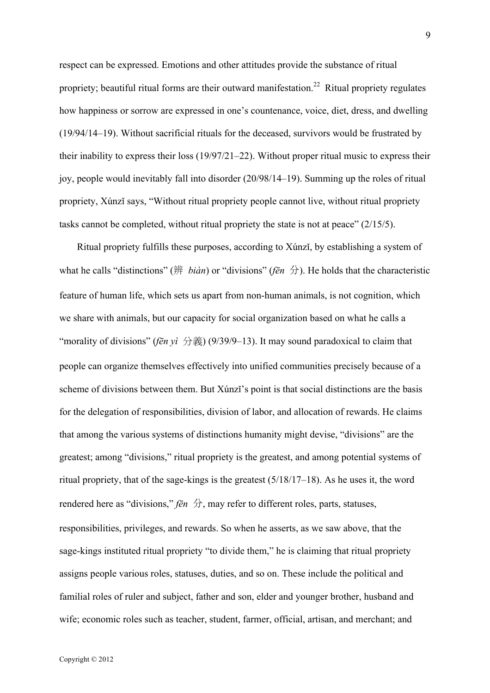respect can be expressed. Emotions and other attitudes provide the substance of ritual propriety; beautiful ritual forms are their outward manifestation.<sup>22</sup> Ritual propriety regulates how happiness or sorrow are expressed in one's countenance, voice, diet, dress, and dwelling (19/94/14–19). Without sacrificial rituals for the deceased, survivors would be frustrated by their inability to express their loss (19/97/21–22). Without proper ritual music to express their joy, people would inevitably fall into disorder (20/98/14–19). Summing up the roles of ritual propriety, Xúnzǐ says, "Without ritual propriety people cannot live, without ritual propriety tasks cannot be completed, without ritual propriety the state is not at peace" (2/15/5).

Ritual propriety fulfills these purposes, according to Xúnzǐ, by establishing a system of what he calls "distinctions" (辨 *biàn*) or "divisions" (*fēn* 分). He holds that the characteristic feature of human life, which sets us apart from non-human animals, is not cognition, which we share with animals, but our capacity for social organization based on what he calls a "morality of divisions" (*fēn yì* 分義) (9/39/9–13). It may sound paradoxical to claim that people can organize themselves effectively into unified communities precisely because of a scheme of divisions between them. But Xúnzi's point is that social distinctions are the basis for the delegation of responsibilities, division of labor, and allocation of rewards. He claims that among the various systems of distinctions humanity might devise, "divisions" are the greatest; among "divisions," ritual propriety is the greatest, and among potential systems of ritual propriety, that of the sage-kings is the greatest (5/18/17–18). As he uses it, the word rendered here as "divisions,"  $\bar{f}$ *en*  $\hat{f}$ , may refer to different roles, parts, statuses, responsibilities, privileges, and rewards. So when he asserts, as we saw above, that the sage-kings instituted ritual propriety "to divide them," he is claiming that ritual propriety assigns people various roles, statuses, duties, and so on. These include the political and familial roles of ruler and subject, father and son, elder and younger brother, husband and wife; economic roles such as teacher, student, farmer, official, artisan, and merchant; and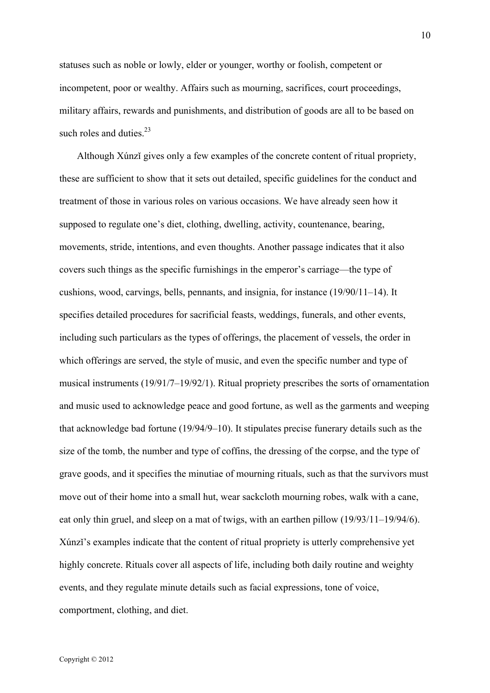statuses such as noble or lowly, elder or younger, worthy or foolish, competent or incompetent, poor or wealthy. Affairs such as mourning, sacrifices, court proceedings, military affairs, rewards and punishments, and distribution of goods are all to be based on such roles and duties. $23$ 

Although Xúnzǐ gives only a few examples of the concrete content of ritual propriety, these are sufficient to show that it sets out detailed, specific guidelines for the conduct and treatment of those in various roles on various occasions. We have already seen how it supposed to regulate one's diet, clothing, dwelling, activity, countenance, bearing, movements, stride, intentions, and even thoughts. Another passage indicates that it also covers such things as the specific furnishings in the emperor's carriage—the type of cushions, wood, carvings, bells, pennants, and insignia, for instance (19/90/11–14). It specifies detailed procedures for sacrificial feasts, weddings, funerals, and other events, including such particulars as the types of offerings, the placement of vessels, the order in which offerings are served, the style of music, and even the specific number and type of musical instruments (19/91/7–19/92/1). Ritual propriety prescribes the sorts of ornamentation and music used to acknowledge peace and good fortune, as well as the garments and weeping that acknowledge bad fortune (19/94/9–10). It stipulates precise funerary details such as the size of the tomb, the number and type of coffins, the dressing of the corpse, and the type of grave goods, and it specifies the minutiae of mourning rituals, such as that the survivors must move out of their home into a small hut, wear sackcloth mourning robes, walk with a cane, eat only thin gruel, and sleep on a mat of twigs, with an earthen pillow  $(19/93/11-19/94/6)$ . Xúnzǐ's examples indicate that the content of ritual propriety is utterly comprehensive yet highly concrete. Rituals cover all aspects of life, including both daily routine and weighty events, and they regulate minute details such as facial expressions, tone of voice, comportment, clothing, and diet.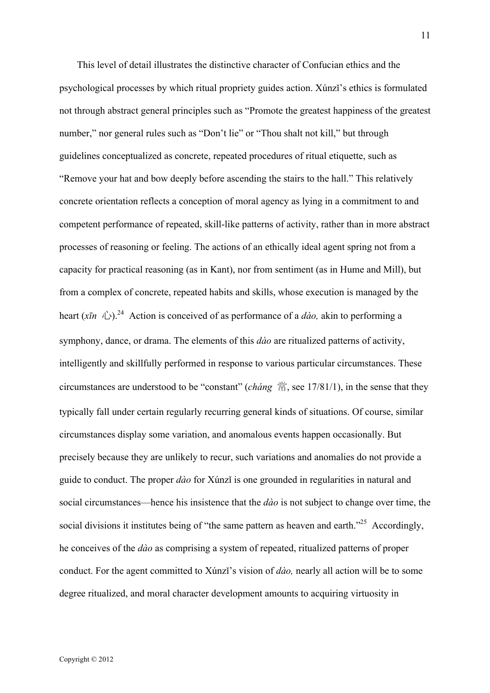This level of detail illustrates the distinctive character of Confucian ethics and the psychological processes by which ritual propriety guides action. Xúnzǐ's ethics is formulated not through abstract general principles such as "Promote the greatest happiness of the greatest number," nor general rules such as "Don't lie" or "Thou shalt not kill," but through guidelines conceptualized as concrete, repeated procedures of ritual etiquette, such as "Remove your hat and bow deeply before ascending the stairs to the hall." This relatively concrete orientation reflects a conception of moral agency as lying in a commitment to and competent performance of repeated, skill-like patterns of activity, rather than in more abstract processes of reasoning or feeling. The actions of an ethically ideal agent spring not from a capacity for practical reasoning (as in Kant), nor from sentiment (as in Hume and Mill), but from a complex of concrete, repeated habits and skills, whose execution is managed by the heart  $(x\bar{i}n \psi)^{24}$  Action is conceived of as performance of a *dào*, akin to performing a symphony, dance, or drama. The elements of this *dào* are ritualized patterns of activity, intelligently and skillfully performed in response to various particular circumstances. These circumstances are understood to be "constant" (*cháng* 常, see 17/81/1), in the sense that they typically fall under certain regularly recurring general kinds of situations. Of course, similar circumstances display some variation, and anomalous events happen occasionally. But precisely because they are unlikely to recur, such variations and anomalies do not provide a guide to conduct. The proper *dào* for Xúnzǐ is one grounded in regularities in natural and social circumstances—hence his insistence that the *dào* is not subject to change over time, the social divisions it institutes being of "the same pattern as heaven and earth."<sup>25</sup> Accordingly, he conceives of the *dào* as comprising a system of repeated, ritualized patterns of proper conduct. For the agent committed to Xúnzǐ's vision of *dào,* nearly all action will be to some degree ritualized, and moral character development amounts to acquiring virtuosity in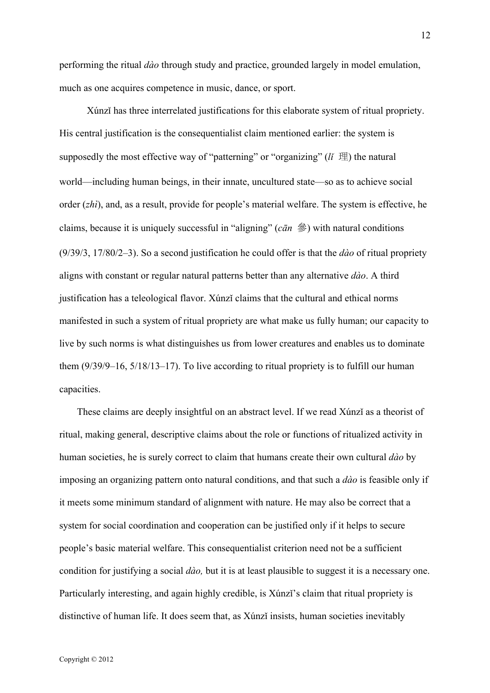performing the ritual *dào* through study and practice, grounded largely in model emulation, much as one acquires competence in music, dance, or sport.

 Xúnzǐ has three interrelated justifications for this elaborate system of ritual propriety. His central justification is the consequentialist claim mentioned earlier: the system is supposedly the most effective way of "patterning" or "organizing" (*lǐ* 理) the natural world—including human beings, in their innate, uncultured state—so as to achieve social order (*zhì*), and, as a result, provide for people's material welfare. The system is effective, he claims, because it is uniquely successful in "aligning" (*cān* 參) with natural conditions (9/39/3, 17/80/2–3). So a second justification he could offer is that the *dào* of ritual propriety aligns with constant or regular natural patterns better than any alternative *dào*. A third justification has a teleological flavor. Xúnzi claims that the cultural and ethical norms manifested in such a system of ritual propriety are what make us fully human; our capacity to live by such norms is what distinguishes us from lower creatures and enables us to dominate them (9/39/9–16, 5/18/13–17). To live according to ritual propriety is to fulfill our human capacities.

These claims are deeply insightful on an abstract level. If we read Xúnzǐ as a theorist of ritual, making general, descriptive claims about the role or functions of ritualized activity in human societies, he is surely correct to claim that humans create their own cultural *dào* by imposing an organizing pattern onto natural conditions, and that such a *dào* is feasible only if it meets some minimum standard of alignment with nature. He may also be correct that a system for social coordination and cooperation can be justified only if it helps to secure people's basic material welfare. This consequentialist criterion need not be a sufficient condition for justifying a social *dào,* but it is at least plausible to suggest it is a necessary one. Particularly interesting, and again highly credible, is Xúnzi's claim that ritual propriety is distinctive of human life. It does seem that, as Xúnzi insists, human societies inevitably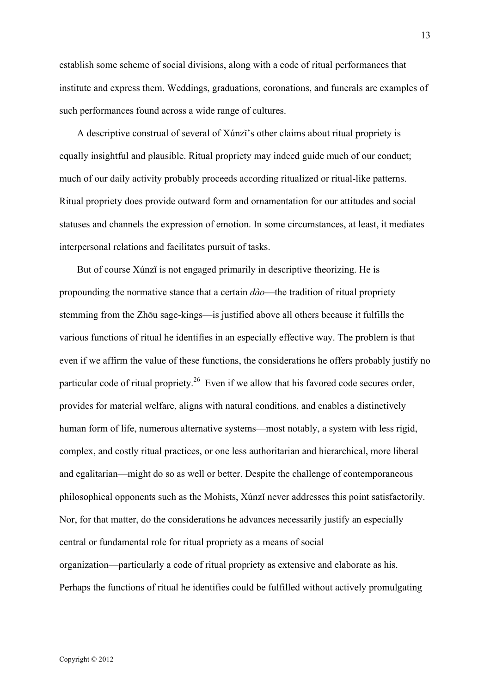establish some scheme of social divisions, along with a code of ritual performances that institute and express them. Weddings, graduations, coronations, and funerals are examples of such performances found across a wide range of cultures.

A descriptive construal of several of Xúnzǐ's other claims about ritual propriety is equally insightful and plausible. Ritual propriety may indeed guide much of our conduct; much of our daily activity probably proceeds according ritualized or ritual-like patterns. Ritual propriety does provide outward form and ornamentation for our attitudes and social statuses and channels the expression of emotion. In some circumstances, at least, it mediates interpersonal relations and facilitates pursuit of tasks.

But of course Xúnzǐ is not engaged primarily in descriptive theorizing. He is propounding the normative stance that a certain *dào*—the tradition of ritual propriety stemming from the Zhōu sage-kings—is justified above all others because it fulfills the various functions of ritual he identifies in an especially effective way. The problem is that even if we affirm the value of these functions, the considerations he offers probably justify no particular code of ritual propriety.<sup>26</sup> Even if we allow that his favored code secures order, provides for material welfare, aligns with natural conditions, and enables a distinctively human form of life, numerous alternative systems—most notably, a system with less rigid, complex, and costly ritual practices, or one less authoritarian and hierarchical, more liberal and egalitarian—might do so as well or better. Despite the challenge of contemporaneous philosophical opponents such as the Mohists, Xúnzǐ never addresses this point satisfactorily. Nor, for that matter, do the considerations he advances necessarily justify an especially central or fundamental role for ritual propriety as a means of social organization—particularly a code of ritual propriety as extensive and elaborate as his. Perhaps the functions of ritual he identifies could be fulfilled without actively promulgating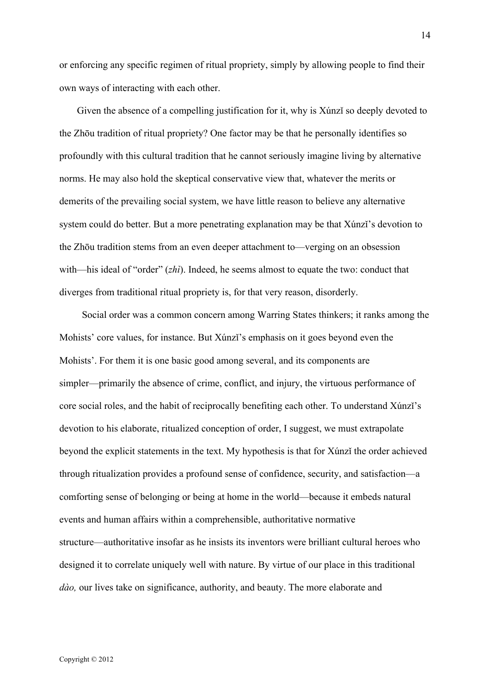or enforcing any specific regimen of ritual propriety, simply by allowing people to find their own ways of interacting with each other.

Given the absence of a compelling justification for it, why is Xúnzí so deeply devoted to the Zhōu tradition of ritual propriety? One factor may be that he personally identifies so profoundly with this cultural tradition that he cannot seriously imagine living by alternative norms. He may also hold the skeptical conservative view that, whatever the merits or demerits of the prevailing social system, we have little reason to believe any alternative system could do better. But a more penetrating explanation may be that Xúnzi's devotion to the Zhōu tradition stems from an even deeper attachment to—verging on an obsession with—his ideal of "order" (*zhì*). Indeed, he seems almost to equate the two: conduct that diverges from traditional ritual propriety is, for that very reason, disorderly.

 Social order was a common concern among Warring States thinkers; it ranks among the Mohists' core values, for instance. But Xúnzǐ's emphasis on it goes beyond even the Mohists'. For them it is one basic good among several, and its components are simpler—primarily the absence of crime, conflict, and injury, the virtuous performance of core social roles, and the habit of reciprocally benefiting each other. To understand Xúnzǐ's devotion to his elaborate, ritualized conception of order, I suggest, we must extrapolate beyond the explicit statements in the text. My hypothesis is that for Xúnzi the order achieved through ritualization provides a profound sense of confidence, security, and satisfaction—a comforting sense of belonging or being at home in the world—because it embeds natural events and human affairs within a comprehensible, authoritative normative structure—authoritative insofar as he insists its inventors were brilliant cultural heroes who designed it to correlate uniquely well with nature. By virtue of our place in this traditional *dào,* our lives take on significance, authority, and beauty. The more elaborate and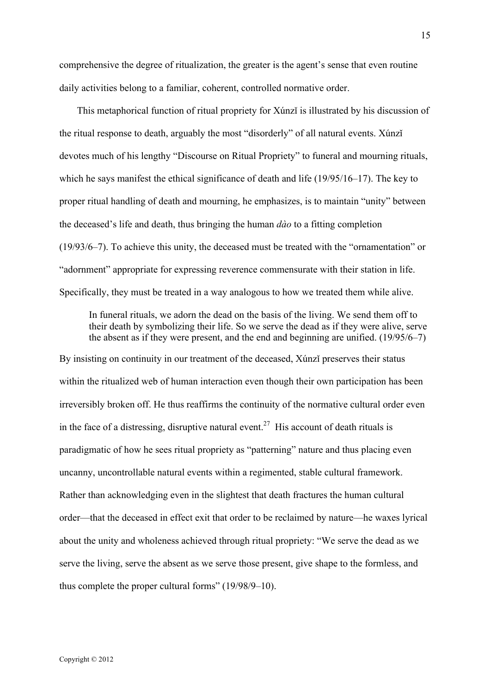comprehensive the degree of ritualization, the greater is the agent's sense that even routine daily activities belong to a familiar, coherent, controlled normative order.

This metaphorical function of ritual propriety for Xúnzi is illustrated by his discussion of the ritual response to death, arguably the most "disorderly" of all natural events. Xúnzǐ devotes much of his lengthy "Discourse on Ritual Propriety" to funeral and mourning rituals, which he says manifest the ethical significance of death and life (19/95/16–17). The key to proper ritual handling of death and mourning, he emphasizes, is to maintain "unity" between the deceased's life and death, thus bringing the human *dào* to a fitting completion (19/93/6–7). To achieve this unity, the deceased must be treated with the "ornamentation" or "adornment" appropriate for expressing reverence commensurate with their station in life. Specifically, they must be treated in a way analogous to how we treated them while alive.

In funeral rituals, we adorn the dead on the basis of the living. We send them off to their death by symbolizing their life. So we serve the dead as if they were alive, serve the absent as if they were present, and the end and beginning are unified. (19/95/6–7)

By insisting on continuity in our treatment of the deceased, Xúnzi preserves their status within the ritualized web of human interaction even though their own participation has been irreversibly broken off. He thus reaffirms the continuity of the normative cultural order even in the face of a distressing, disruptive natural event.<sup>27</sup> His account of death rituals is paradigmatic of how he sees ritual propriety as "patterning" nature and thus placing even uncanny, uncontrollable natural events within a regimented, stable cultural framework. Rather than acknowledging even in the slightest that death fractures the human cultural order—that the deceased in effect exit that order to be reclaimed by nature—he waxes lyrical about the unity and wholeness achieved through ritual propriety: "We serve the dead as we serve the living, serve the absent as we serve those present, give shape to the formless, and thus complete the proper cultural forms" (19/98/9–10).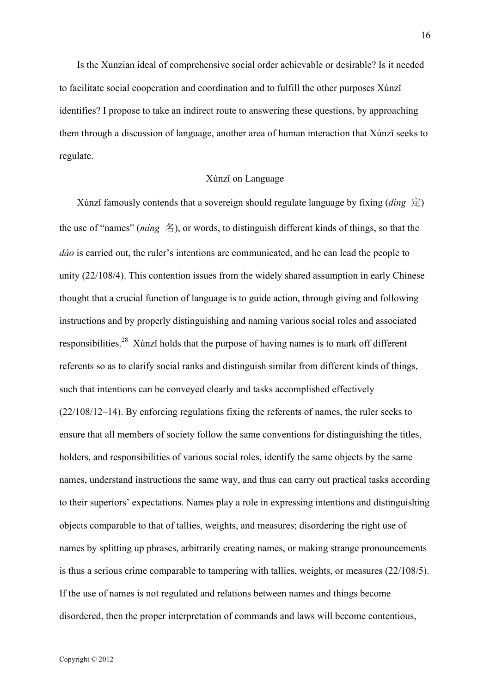Is the Xunzian ideal of comprehensive social order achievable or desirable? Is it needed to facilitate social cooperation and coordination and to fulfill the other purposes Xúnzǐ identifies? I propose to take an indirect route to answering these questions, by approaching them through a discussion of language, another area of human interaction that Xúnzí seeks to regulate.

## Xúnzǐ on Language

Xúnzǐ famously contends that a sovereign should regulate language by fixing  $(ding \; \tilde{\pm})$ the use of "names" (*míng* 名), or words, to distinguish different kinds of things, so that the *dào* is carried out, the ruler's intentions are communicated, and he can lead the people to unity (22/108/4). This contention issues from the widely shared assumption in early Chinese thought that a crucial function of language is to guide action, through giving and following instructions and by properly distinguishing and naming various social roles and associated responsibilities.<sup>28</sup> Xúnzi holds that the purpose of having names is to mark off different referents so as to clarify social ranks and distinguish similar from different kinds of things, such that intentions can be conveyed clearly and tasks accomplished effectively (22/108/12–14). By enforcing regulations fixing the referents of names, the ruler seeks to ensure that all members of society follow the same conventions for distinguishing the titles, holders, and responsibilities of various social roles, identify the same objects by the same names, understand instructions the same way, and thus can carry out practical tasks according to their superiors' expectations. Names play a role in expressing intentions and distinguishing objects comparable to that of tallies, weights, and measures; disordering the right use of names by splitting up phrases, arbitrarily creating names, or making strange pronouncements is thus a serious crime comparable to tampering with tallies, weights, or measures (22/108/5). If the use of names is not regulated and relations between names and things become disordered, then the proper interpretation of commands and laws will become contentious,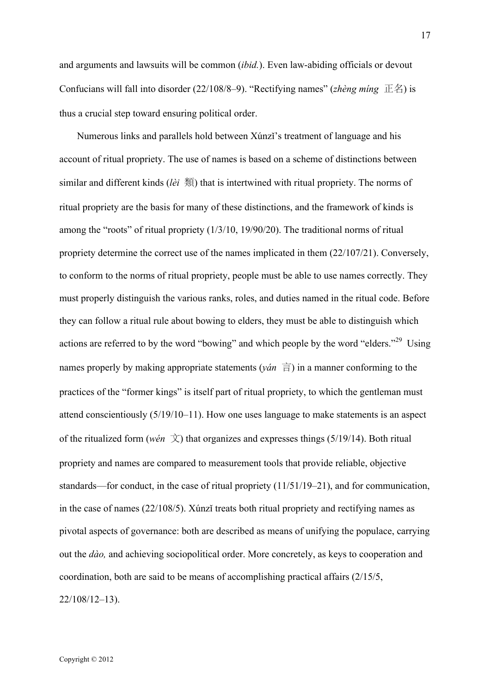and arguments and lawsuits will be common (*ibid.*). Even law-abiding officials or devout Confucians will fall into disorder (22/108/8–9). "Rectifying names" (*zhèng míng* 正名) is thus a crucial step toward ensuring political order.

Numerous links and parallels hold between Xúnzǐ's treatment of language and his account of ritual propriety. The use of names is based on a scheme of distinctions between similar and different kinds (*lèi* 類) that is intertwined with ritual propriety. The norms of ritual propriety are the basis for many of these distinctions, and the framework of kinds is among the "roots" of ritual propriety (1/3/10, 19/90/20). The traditional norms of ritual propriety determine the correct use of the names implicated in them (22/107/21). Conversely, to conform to the norms of ritual propriety, people must be able to use names correctly. They must properly distinguish the various ranks, roles, and duties named in the ritual code. Before they can follow a ritual rule about bowing to elders, they must be able to distinguish which actions are referred to by the word "bowing" and which people by the word "elders."<sup>29</sup> Using names properly by making appropriate statements ( $vdn \equiv$ ) in a manner conforming to the practices of the "former kings" is itself part of ritual propriety, to which the gentleman must attend conscientiously (5/19/10–11). How one uses language to make statements is an aspect of the ritualized form (*wén*  $\overrightarrow{\chi}$ ) that organizes and expresses things (5/19/14). Both ritual propriety and names are compared to measurement tools that provide reliable, objective standards—for conduct, in the case of ritual propriety (11/51/19–21), and for communication, in the case of names (22/108/5). Xúnzǐ treats both ritual propriety and rectifying names as pivotal aspects of governance: both are described as means of unifying the populace, carrying out the *dào,* and achieving sociopolitical order. More concretely, as keys to cooperation and coordination, both are said to be means of accomplishing practical affairs (2/15/5, 22/108/12–13).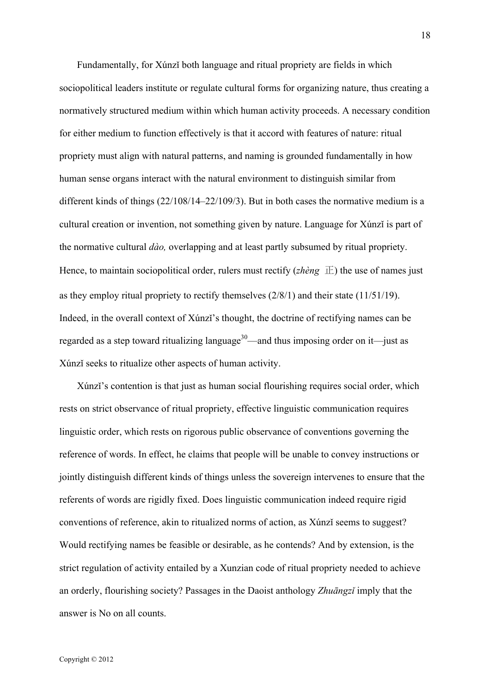Fundamentally, for Xúnzǐ both language and ritual propriety are fields in which sociopolitical leaders institute or regulate cultural forms for organizing nature, thus creating a normatively structured medium within which human activity proceeds. A necessary condition for either medium to function effectively is that it accord with features of nature: ritual propriety must align with natural patterns, and naming is grounded fundamentally in how human sense organs interact with the natural environment to distinguish similar from different kinds of things (22/108/14–22/109/3). But in both cases the normative medium is a cultural creation or invention, not something given by nature. Language for Xúnzi is part of the normative cultural *dào,* overlapping and at least partly subsumed by ritual propriety. Hence, to maintain sociopolitical order, rulers must rectify (*zhèng* 正) the use of names just as they employ ritual propriety to rectify themselves (2/8/1) and their state (11/51/19). Indeed, in the overall context of Xúnzǐ's thought, the doctrine of rectifying names can be regarded as a step toward ritualizing language<sup>30</sup>—and thus imposing order on it—just as Xúnzǐ seeks to ritualize other aspects of human activity.

Xúnzi's contention is that just as human social flourishing requires social order, which rests on strict observance of ritual propriety, effective linguistic communication requires linguistic order, which rests on rigorous public observance of conventions governing the reference of words. In effect, he claims that people will be unable to convey instructions or jointly distinguish different kinds of things unless the sovereign intervenes to ensure that the referents of words are rigidly fixed. Does linguistic communication indeed require rigid conventions of reference, akin to ritualized norms of action, as Xúnzǐ seems to suggest? Would rectifying names be feasible or desirable, as he contends? And by extension, is the strict regulation of activity entailed by a Xunzian code of ritual propriety needed to achieve an orderly, flourishing society? Passages in the Daoist anthology *Zhuāngzǐ* imply that the answer is No on all counts.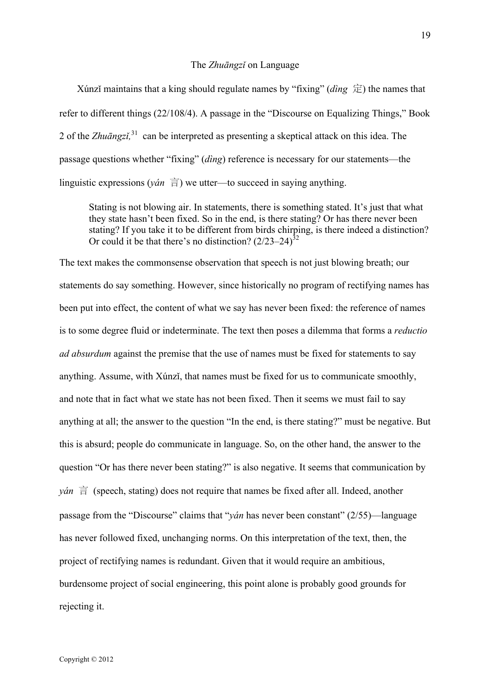#### The *Zhuāngzǐ* on Language

Xúnzǐ maintains that a king should regulate names by "fixing" (*ding*  $\hat{\pm}$ ) the names that refer to different things (22/108/4). A passage in the "Discourse on Equalizing Things," Book 2 of the *Zhuāngzǐ,* <sup>31</sup> can be interpreted as presenting a skeptical attack on this idea. The passage questions whether "fixing" (*dìng*) reference is necessary for our statements—the linguistic expressions ( $ydn \equiv$ ) we utter—to succeed in saying anything.

Stating is not blowing air. In statements, there is something stated. It's just that what they state hasn't been fixed. So in the end, is there stating? Or has there never been stating? If you take it to be different from birds chirping, is there indeed a distinction? Or could it be that there's no distinction?  $(2/23-24)^{3/2}$ 

The text makes the commonsense observation that speech is not just blowing breath; our statements do say something. However, since historically no program of rectifying names has been put into effect, the content of what we say has never been fixed: the reference of names is to some degree fluid or indeterminate. The text then poses a dilemma that forms a *reductio ad absurdum* against the premise that the use of names must be fixed for statements to say anything. Assume, with Xúnzǐ, that names must be fixed for us to communicate smoothly, and note that in fact what we state has not been fixed. Then it seems we must fail to say anything at all; the answer to the question "In the end, is there stating?" must be negative. But this is absurd; people do communicate in language. So, on the other hand, the answer to the question "Or has there never been stating?" is also negative. It seems that communication by  $ván \equiv$  (speech, stating) does not require that names be fixed after all. Indeed, another passage from the "Discourse" claims that "*yán* has never been constant" (2/55)—language has never followed fixed, unchanging norms. On this interpretation of the text, then, the project of rectifying names is redundant. Given that it would require an ambitious, burdensome project of social engineering, this point alone is probably good grounds for rejecting it.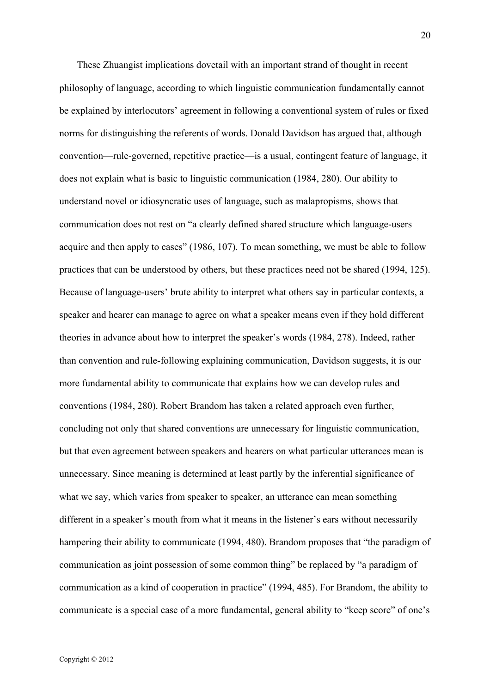These Zhuangist implications dovetail with an important strand of thought in recent philosophy of language, according to which linguistic communication fundamentally cannot be explained by interlocutors' agreement in following a conventional system of rules or fixed norms for distinguishing the referents of words. Donald Davidson has argued that, although convention—rule-governed, repetitive practice—is a usual, contingent feature of language, it does not explain what is basic to linguistic communication (1984, 280). Our ability to understand novel or idiosyncratic uses of language, such as malapropisms, shows that communication does not rest on "a clearly defined shared structure which language-users acquire and then apply to cases" (1986, 107). To mean something, we must be able to follow practices that can be understood by others, but these practices need not be shared (1994, 125). Because of language-users' brute ability to interpret what others say in particular contexts, a speaker and hearer can manage to agree on what a speaker means even if they hold different theories in advance about how to interpret the speaker's words (1984, 278). Indeed, rather than convention and rule-following explaining communication, Davidson suggests, it is our more fundamental ability to communicate that explains how we can develop rules and conventions (1984, 280). Robert Brandom has taken a related approach even further, concluding not only that shared conventions are unnecessary for linguistic communication, but that even agreement between speakers and hearers on what particular utterances mean is unnecessary. Since meaning is determined at least partly by the inferential significance of what we say, which varies from speaker to speaker, an utterance can mean something different in a speaker's mouth from what it means in the listener's ears without necessarily hampering their ability to communicate (1994, 480). Brandom proposes that "the paradigm of communication as joint possession of some common thing" be replaced by "a paradigm of communication as a kind of cooperation in practice" (1994, 485). For Brandom, the ability to communicate is a special case of a more fundamental, general ability to "keep score" of one's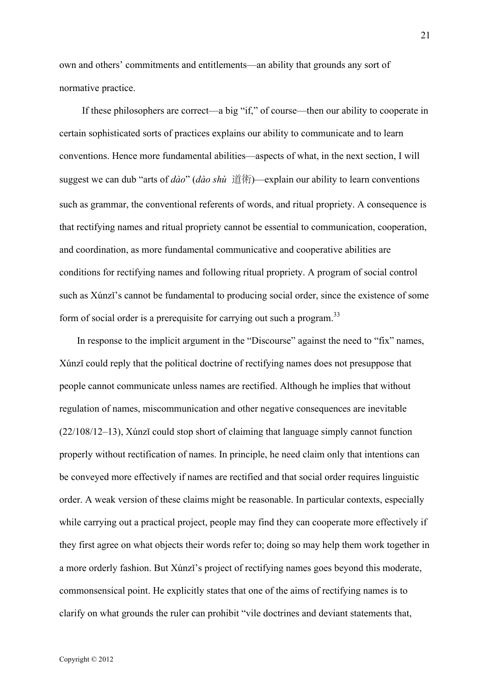own and others' commitments and entitlements—an ability that grounds any sort of normative practice.

 If these philosophers are correct—a big "if," of course—then our ability to cooperate in certain sophisticated sorts of practices explains our ability to communicate and to learn conventions. Hence more fundamental abilities—aspects of what, in the next section, I will suggest we can dub "arts of *dào*" (*dào shù* 道術)—explain our ability to learn conventions such as grammar, the conventional referents of words, and ritual propriety. A consequence is that rectifying names and ritual propriety cannot be essential to communication, cooperation, and coordination, as more fundamental communicative and cooperative abilities are conditions for rectifying names and following ritual propriety. A program of social control such as Xúnzi's cannot be fundamental to producing social order, since the existence of some form of social order is a prerequisite for carrying out such a program.<sup>33</sup>

In response to the implicit argument in the "Discourse" against the need to "fix" names, Xúnzǐ could reply that the political doctrine of rectifying names does not presuppose that people cannot communicate unless names are rectified. Although he implies that without regulation of names, miscommunication and other negative consequences are inevitable (22/108/12–13), Xúnzǐ could stop short of claiming that language simply cannot function properly without rectification of names. In principle, he need claim only that intentions can be conveyed more effectively if names are rectified and that social order requires linguistic order. A weak version of these claims might be reasonable. In particular contexts, especially while carrying out a practical project, people may find they can cooperate more effectively if they first agree on what objects their words refer to; doing so may help them work together in a more orderly fashion. But Xúnzǐ's project of rectifying names goes beyond this moderate, commonsensical point. He explicitly states that one of the aims of rectifying names is to clarify on what grounds the ruler can prohibit "vile doctrines and deviant statements that,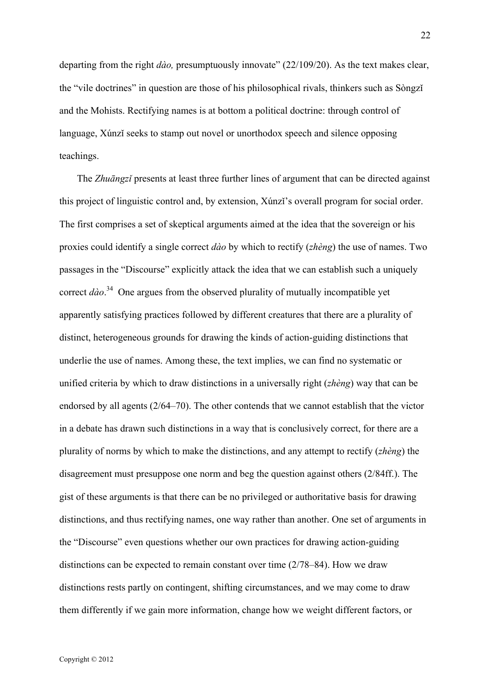departing from the right *dào,* presumptuously innovate" (22/109/20). As the text makes clear, the "vile doctrines" in question are those of his philosophical rivals, thinkers such as Sòngzǐ and the Mohists. Rectifying names is at bottom a political doctrine: through control of language, Xúnzi seeks to stamp out novel or unorthodox speech and silence opposing teachings.

The *Zhuāngzǐ* presents at least three further lines of argument that can be directed against this project of linguistic control and, by extension, Xúnzǐ's overall program for social order. The first comprises a set of skeptical arguments aimed at the idea that the sovereign or his proxies could identify a single correct *dào* by which to rectify (*zhèng*) the use of names. Two passages in the "Discourse" explicitly attack the idea that we can establish such a uniquely correct *dào*. 34 One argues from the observed plurality of mutually incompatible yet apparently satisfying practices followed by different creatures that there are a plurality of distinct, heterogeneous grounds for drawing the kinds of action-guiding distinctions that underlie the use of names. Among these, the text implies, we can find no systematic or unified criteria by which to draw distinctions in a universally right (*zhèng*) way that can be endorsed by all agents (2/64–70). The other contends that we cannot establish that the victor in a debate has drawn such distinctions in a way that is conclusively correct, for there are a plurality of norms by which to make the distinctions, and any attempt to rectify (*zhèng*) the disagreement must presuppose one norm and beg the question against others (2/84ff.). The gist of these arguments is that there can be no privileged or authoritative basis for drawing distinctions, and thus rectifying names, one way rather than another. One set of arguments in the "Discourse" even questions whether our own practices for drawing action-guiding distinctions can be expected to remain constant over time (2/78–84). How we draw distinctions rests partly on contingent, shifting circumstances, and we may come to draw them differently if we gain more information, change how we weight different factors, or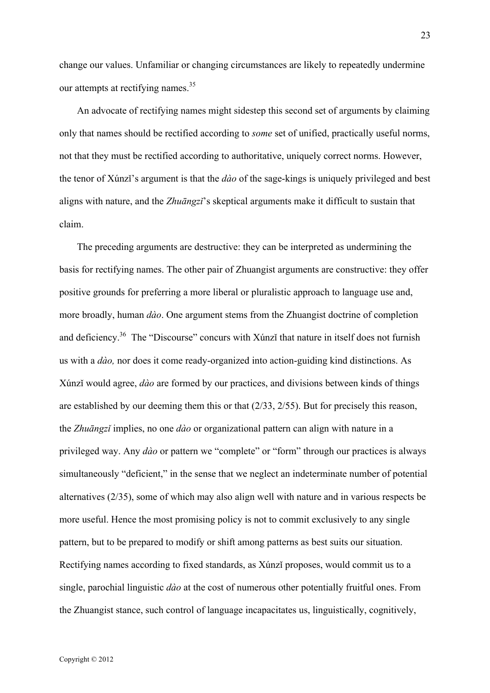change our values. Unfamiliar or changing circumstances are likely to repeatedly undermine our attempts at rectifying names.<sup>35</sup>

An advocate of rectifying names might sidestep this second set of arguments by claiming only that names should be rectified according to *some* set of unified, practically useful norms, not that they must be rectified according to authoritative, uniquely correct norms. However, the tenor of Xúnzǐ's argument is that the *dào* of the sage-kings is uniquely privileged and best aligns with nature, and the *Zhuāngzǐ*'s skeptical arguments make it difficult to sustain that claim.

The preceding arguments are destructive: they can be interpreted as undermining the basis for rectifying names. The other pair of Zhuangist arguments are constructive: they offer positive grounds for preferring a more liberal or pluralistic approach to language use and, more broadly, human *dào*. One argument stems from the Zhuangist doctrine of completion and deficiency.<sup>36</sup> The "Discourse" concurs with Xúnzǐ that nature in itself does not furnish us with a *dào,* nor does it come ready-organized into action-guiding kind distinctions. As Xúnzǐ would agree, *dào* are formed by our practices, and divisions between kinds of things are established by our deeming them this or that (2/33, 2/55). But for precisely this reason, the *Zhuāngzǐ* implies, no one *dào* or organizational pattern can align with nature in a privileged way. Any *dào* or pattern we "complete" or "form" through our practices is always simultaneously "deficient," in the sense that we neglect an indeterminate number of potential alternatives (2/35), some of which may also align well with nature and in various respects be more useful. Hence the most promising policy is not to commit exclusively to any single pattern, but to be prepared to modify or shift among patterns as best suits our situation. Rectifying names according to fixed standards, as Xúnzǐ proposes, would commit us to a single, parochial linguistic *dào* at the cost of numerous other potentially fruitful ones. From the Zhuangist stance, such control of language incapacitates us, linguistically, cognitively,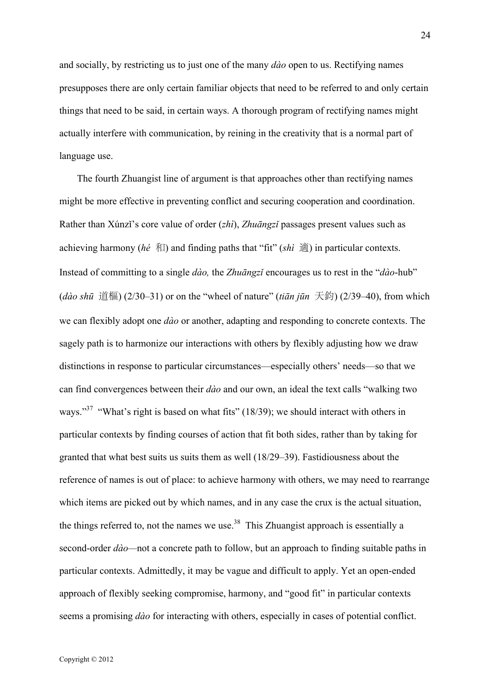and socially, by restricting us to just one of the many *dào* open to us. Rectifying names presupposes there are only certain familiar objects that need to be referred to and only certain things that need to be said, in certain ways. A thorough program of rectifying names might actually interfere with communication, by reining in the creativity that is a normal part of language use.

The fourth Zhuangist line of argument is that approaches other than rectifying names might be more effective in preventing conflict and securing cooperation and coordination. Rather than Xúnzǐ's core value of order (*zhì*), *Zhuāngzǐ* passages present values such as achieving harmony ( $h\acute{\epsilon}$   $\bar{\uparrow}$ ) and finding paths that "fit" ( $\sin \theta$ ) in particular contexts. Instead of committing to a single *dào,* the *Zhuāngzǐ* encourages us to rest in the "*dào*-hub" (*dào shū* 道樞) (2/30–31) or on the "wheel of nature" (*tiān jūn* 天鈞) (2/39–40), from which we can flexibly adopt one *dào* or another, adapting and responding to concrete contexts. The sagely path is to harmonize our interactions with others by flexibly adjusting how we draw distinctions in response to particular circumstances—especially others' needs—so that we can find convergences between their *dào* and our own, an ideal the text calls "walking two ways."<sup>37</sup> "What's right is based on what fits" (18/39); we should interact with others in particular contexts by finding courses of action that fit both sides, rather than by taking for granted that what best suits us suits them as well (18/29–39). Fastidiousness about the reference of names is out of place: to achieve harmony with others, we may need to rearrange which items are picked out by which names, and in any case the crux is the actual situation, the things referred to, not the names we use.<sup>38</sup> This Zhuangist approach is essentially a second-order *dào—*not a concrete path to follow, but an approach to finding suitable paths in particular contexts. Admittedly, it may be vague and difficult to apply. Yet an open-ended approach of flexibly seeking compromise, harmony, and "good fit" in particular contexts seems a promising *dào* for interacting with others, especially in cases of potential conflict.

Copyright © 2012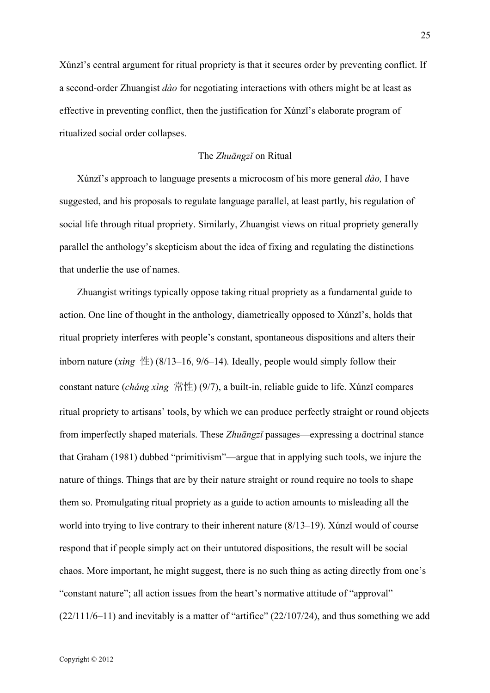Xúnzi's central argument for ritual propriety is that it secures order by preventing conflict. If a second-order Zhuangist *dào* for negotiating interactions with others might be at least as effective in preventing conflict, then the justification for Xúnzǐ's elaborate program of ritualized social order collapses.

# The *Zhuāngzǐ* on Ritual

Xúnzǐ's approach to language presents a microcosm of his more general *dào,* I have suggested, and his proposals to regulate language parallel, at least partly, his regulation of social life through ritual propriety. Similarly, Zhuangist views on ritual propriety generally parallel the anthology's skepticism about the idea of fixing and regulating the distinctions that underlie the use of names.

Zhuangist writings typically oppose taking ritual propriety as a fundamental guide to action. One line of thought in the anthology, diametrically opposed to Xúnzǐ's, holds that ritual propriety interferes with people's constant, spontaneous dispositions and alters their inborn nature  $(xing \#)$  (8/13–16, 9/6–14). Ideally, people would simply follow their constant nature (*cháng xìng* 常性) (9/7), a built-in, reliable guide to life. Xúnzǐ compares ritual propriety to artisans' tools, by which we can produce perfectly straight or round objects from imperfectly shaped materials. These *Zhuāngzǐ* passages—expressing a doctrinal stance that Graham (1981) dubbed "primitivism"—argue that in applying such tools, we injure the nature of things. Things that are by their nature straight or round require no tools to shape them so. Promulgating ritual propriety as a guide to action amounts to misleading all the world into trying to live contrary to their inherent nature (8/13–19). Xúnzǐ would of course respond that if people simply act on their untutored dispositions, the result will be social chaos. More important, he might suggest, there is no such thing as acting directly from one's "constant nature"; all action issues from the heart's normative attitude of "approval"  $(22/111/6-11)$  and inevitably is a matter of "artifice"  $(22/107/24)$ , and thus something we add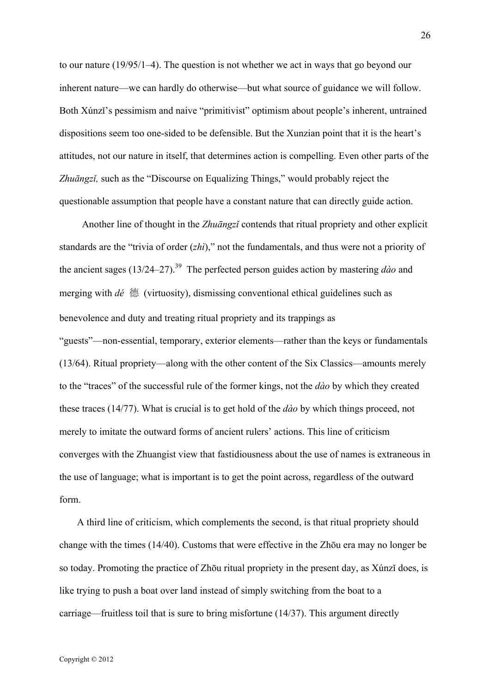to our nature (19/95/1–4). The question is not whether we act in ways that go beyond our inherent nature—we can hardly do otherwise—but what source of guidance we will follow. Both Xúnzi's pessimism and naive "primitivist" optimism about people's inherent, untrained dispositions seem too one-sided to be defensible. But the Xunzian point that it is the heart's attitudes, not our nature in itself, that determines action is compelling. Even other parts of the *Zhuāngzǐ,* such as the "Discourse on Equalizing Things," would probably reject the questionable assumption that people have a constant nature that can directly guide action.

 Another line of thought in the *Zhuāngzǐ* contends that ritual propriety and other explicit standards are the "trivia of order (*zhì*)," not the fundamentals, and thus were not a priority of the ancient sages (13/24–27).39 The perfected person guides action by mastering *dào* and merging with *dé* 德 (virtuosity), dismissing conventional ethical guidelines such as benevolence and duty and treating ritual propriety and its trappings as "guests"—non-essential, temporary, exterior elements—rather than the keys or fundamentals (13/64). Ritual propriety—along with the other content of the Six Classics—amounts merely to the "traces" of the successful rule of the former kings, not the *dào* by which they created these traces (14/77). What is crucial is to get hold of the *dào* by which things proceed, not merely to imitate the outward forms of ancient rulers' actions. This line of criticism converges with the Zhuangist view that fastidiousness about the use of names is extraneous in the use of language; what is important is to get the point across, regardless of the outward form.

A third line of criticism, which complements the second, is that ritual propriety should change with the times (14/40). Customs that were effective in the Zhōu era may no longer be so today. Promoting the practice of Zhōu ritual propriety in the present day, as Xúnzi does, is like trying to push a boat over land instead of simply switching from the boat to a carriage—fruitless toil that is sure to bring misfortune (14/37). This argument directly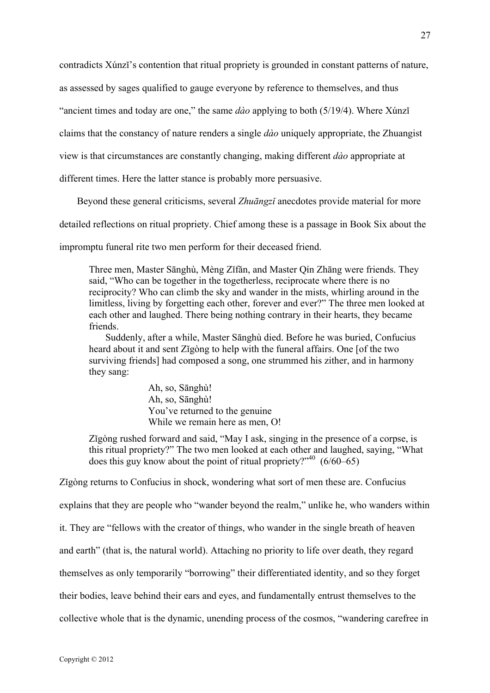contradicts Xúnzǐ's contention that ritual propriety is grounded in constant patterns of nature,

as assessed by sages qualified to gauge everyone by reference to themselves, and thus

"ancient times and today are one," the same *dào* applying to both (5/19/4). Where Xúnzǐ

claims that the constancy of nature renders a single *dào* uniquely appropriate, the Zhuangist

view is that circumstances are constantly changing, making different *dào* appropriate at

different times. Here the latter stance is probably more persuasive.

Beyond these general criticisms, several *Zhuāngzǐ* anecdotes provide material for more

detailed reflections on ritual propriety. Chief among these is a passage in Book Six about the

impromptu funeral rite two men perform for their deceased friend.

Three men, Master Sānghù, Mèng Zǐfǎn, and Master Qín Zhāng were friends. They said, "Who can be together in the togetherless, reciprocate where there is no reciprocity? Who can climb the sky and wander in the mists, whirling around in the limitless, living by forgetting each other, forever and ever?" The three men looked at each other and laughed. There being nothing contrary in their hearts, they became friends.

Suddenly, after a while, Master Sānghù died. Before he was buried, Confucius heard about it and sent Zǐgòng to help with the funeral affairs. One [of the two surviving friends] had composed a song, one strummed his zither, and in harmony they sang:

> Ah, so, Sānghù! Ah, so, Sānghù! You've returned to the genuine While we remain here as men, O!

Zǐgòng rushed forward and said, "May I ask, singing in the presence of a corpse, is this ritual propriety?" The two men looked at each other and laughed, saying, "What does this guy know about the point of ritual propriety?"<sup>40</sup>  $(6/60-65)$ 

Zǐgòng returns to Confucius in shock, wondering what sort of men these are. Confucius explains that they are people who "wander beyond the realm," unlike he, who wanders within it. They are "fellows with the creator of things, who wander in the single breath of heaven and earth" (that is, the natural world). Attaching no priority to life over death, they regard themselves as only temporarily "borrowing" their differentiated identity, and so they forget their bodies, leave behind their ears and eyes, and fundamentally entrust themselves to the collective whole that is the dynamic, unending process of the cosmos, "wandering carefree in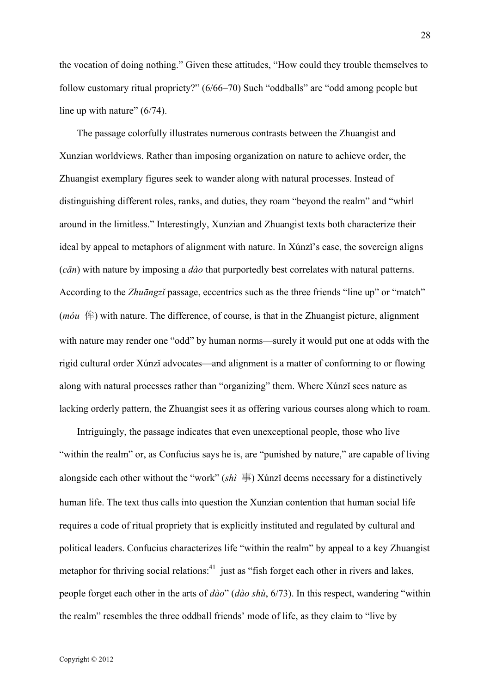the vocation of doing nothing." Given these attitudes, "How could they trouble themselves to follow customary ritual propriety?" (6/66–70) Such "oddballs" are "odd among people but line up with nature"  $(6/74)$ .

The passage colorfully illustrates numerous contrasts between the Zhuangist and Xunzian worldviews. Rather than imposing organization on nature to achieve order, the Zhuangist exemplary figures seek to wander along with natural processes. Instead of distinguishing different roles, ranks, and duties, they roam "beyond the realm" and "whirl around in the limitless." Interestingly, Xunzian and Zhuangist texts both characterize their ideal by appeal to metaphors of alignment with nature. In Xúnzi's case, the sovereign aligns (*cān*) with nature by imposing a *dào* that purportedly best correlates with natural patterns. According to the *Zhuāngzǐ* passage, eccentrics such as the three friends "line up" or "match" (*móu* 侔) with nature. The difference, of course, is that in the Zhuangist picture, alignment with nature may render one "odd" by human norms—surely it would put one at odds with the rigid cultural order Xúnzǐ advocates—and alignment is a matter of conforming to or flowing along with natural processes rather than "organizing" them. Where Xúnzǐ sees nature as lacking orderly pattern, the Zhuangist sees it as offering various courses along which to roam.

Intriguingly, the passage indicates that even unexceptional people, those who live "within the realm" or, as Confucius says he is, are "punished by nature," are capable of living alongside each other without the "work" (*shì* 事) Xúnzǐ deems necessary for a distinctively human life. The text thus calls into question the Xunzian contention that human social life requires a code of ritual propriety that is explicitly instituted and regulated by cultural and political leaders. Confucius characterizes life "within the realm" by appeal to a key Zhuangist metaphor for thriving social relations: $^{41}$  just as "fish forget each other in rivers and lakes, people forget each other in the arts of *dào*" (*dào shù*, 6/73). In this respect, wandering "within the realm" resembles the three oddball friends' mode of life, as they claim to "live by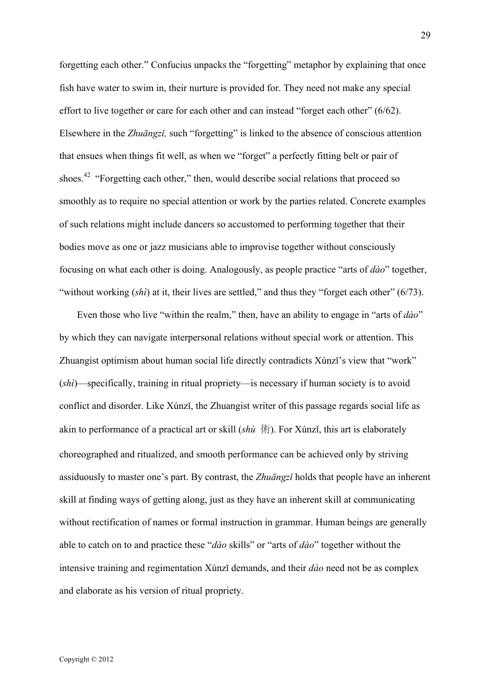forgetting each other." Confucius unpacks the "forgetting" metaphor by explaining that once fish have water to swim in, their nurture is provided for. They need not make any special effort to live together or care for each other and can instead "forget each other" (6/62). Elsewhere in the *Zhuāngzǐ,* such "forgetting" is linked to the absence of conscious attention that ensues when things fit well, as when we "forget" a perfectly fitting belt or pair of shoes.<sup>42</sup> "Forgetting each other," then, would describe social relations that proceed so smoothly as to require no special attention or work by the parties related. Concrete examples of such relations might include dancers so accustomed to performing together that their bodies move as one or jazz musicians able to improvise together without consciously focusing on what each other is doing. Analogously, as people practice "arts of *dào*" together, "without working *(shi)* at it, their lives are settled," and thus they "forget each other" (6/73).

Even those who live "within the realm," then, have an ability to engage in "arts of *dào*" by which they can navigate interpersonal relations without special work or attention. This Zhuangist optimism about human social life directly contradicts Xúnzi's view that "work" (*shì*)—specifically, training in ritual propriety—is necessary if human society is to avoid conflict and disorder. Like Xúnzǐ, the Zhuangist writer of this passage regards social life as akin to performance of a practical art or skill (*shù* 術). For Xúnzǐ, this art is elaborately choreographed and ritualized, and smooth performance can be achieved only by striving assiduously to master one's part. By contrast, the *Zhuāngzǐ* holds that people have an inherent skill at finding ways of getting along, just as they have an inherent skill at communicating without rectification of names or formal instruction in grammar. Human beings are generally able to catch on to and practice these "*dào* skills" or "arts of *dào*" together without the intensive training and regimentation Xúnzǐ demands, and their *dào* need not be as complex and elaborate as his version of ritual propriety.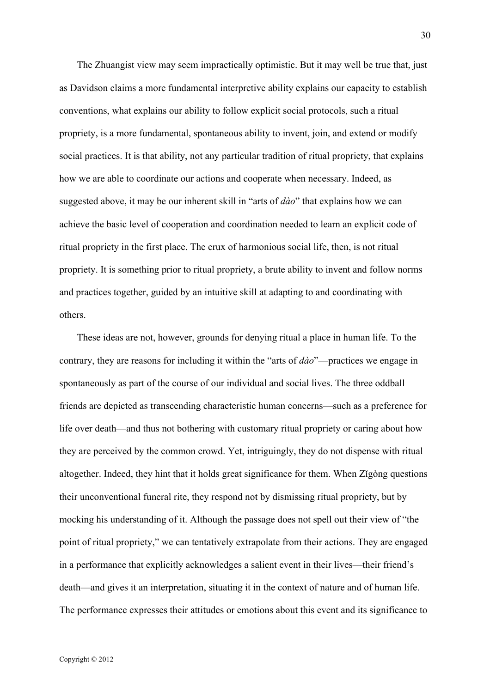The Zhuangist view may seem impractically optimistic. But it may well be true that, just as Davidson claims a more fundamental interpretive ability explains our capacity to establish conventions, what explains our ability to follow explicit social protocols, such a ritual propriety, is a more fundamental, spontaneous ability to invent, join, and extend or modify social practices. It is that ability, not any particular tradition of ritual propriety, that explains how we are able to coordinate our actions and cooperate when necessary. Indeed, as suggested above, it may be our inherent skill in "arts of *dào*" that explains how we can achieve the basic level of cooperation and coordination needed to learn an explicit code of ritual propriety in the first place. The crux of harmonious social life, then, is not ritual propriety. It is something prior to ritual propriety, a brute ability to invent and follow norms and practices together, guided by an intuitive skill at adapting to and coordinating with others.

These ideas are not, however, grounds for denying ritual a place in human life. To the contrary, they are reasons for including it within the "arts of *dào*"—practices we engage in spontaneously as part of the course of our individual and social lives. The three oddball friends are depicted as transcending characteristic human concerns—such as a preference for life over death—and thus not bothering with customary ritual propriety or caring about how they are perceived by the common crowd. Yet, intriguingly, they do not dispense with ritual altogether. Indeed, they hint that it holds great significance for them. When Zǐgòng questions their unconventional funeral rite, they respond not by dismissing ritual propriety, but by mocking his understanding of it. Although the passage does not spell out their view of "the point of ritual propriety," we can tentatively extrapolate from their actions. They are engaged in a performance that explicitly acknowledges a salient event in their lives—their friend's death—and gives it an interpretation, situating it in the context of nature and of human life. The performance expresses their attitudes or emotions about this event and its significance to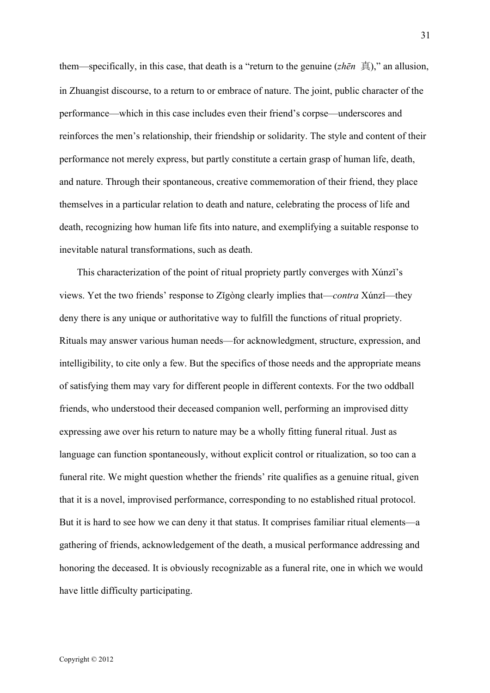them—specifically, in this case, that death is a "return to the genuine (*zhēn* 真)," an allusion, in Zhuangist discourse, to a return to or embrace of nature. The joint, public character of the performance—which in this case includes even their friend's corpse—underscores and reinforces the men's relationship, their friendship or solidarity. The style and content of their performance not merely express, but partly constitute a certain grasp of human life, death, and nature. Through their spontaneous, creative commemoration of their friend, they place themselves in a particular relation to death and nature, celebrating the process of life and death, recognizing how human life fits into nature, and exemplifying a suitable response to inevitable natural transformations, such as death.

This characterization of the point of ritual propriety partly converges with Xúnzǐ's views. Yet the two friends' response to Zǐgòng clearly implies that—*contra* Xúnzǐ—they deny there is any unique or authoritative way to fulfill the functions of ritual propriety. Rituals may answer various human needs—for acknowledgment, structure, expression, and intelligibility, to cite only a few. But the specifics of those needs and the appropriate means of satisfying them may vary for different people in different contexts. For the two oddball friends, who understood their deceased companion well, performing an improvised ditty expressing awe over his return to nature may be a wholly fitting funeral ritual. Just as language can function spontaneously, without explicit control or ritualization, so too can a funeral rite. We might question whether the friends' rite qualifies as a genuine ritual, given that it is a novel, improvised performance, corresponding to no established ritual protocol. But it is hard to see how we can deny it that status. It comprises familiar ritual elements—a gathering of friends, acknowledgement of the death, a musical performance addressing and honoring the deceased. It is obviously recognizable as a funeral rite, one in which we would have little difficulty participating.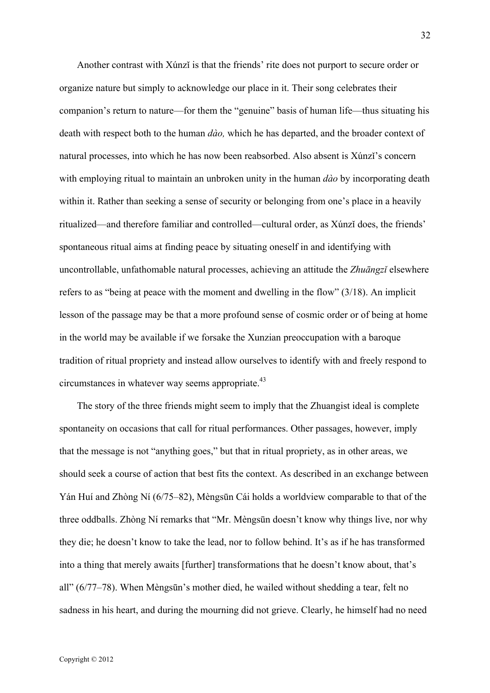Another contrast with Xúnzǐ is that the friends' rite does not purport to secure order or organize nature but simply to acknowledge our place in it. Their song celebrates their companion's return to nature—for them the "genuine" basis of human life—thus situating his death with respect both to the human *dào,* which he has departed, and the broader context of natural processes, into which he has now been reabsorbed. Also absent is Xúnzǐ's concern with employing ritual to maintain an unbroken unity in the human *dào* by incorporating death within it. Rather than seeking a sense of security or belonging from one's place in a heavily ritualized—and therefore familiar and controlled—cultural order, as Xúnzǐ does, the friends' spontaneous ritual aims at finding peace by situating oneself in and identifying with uncontrollable, unfathomable natural processes, achieving an attitude the *Zhuāngzǐ* elsewhere refers to as "being at peace with the moment and dwelling in the flow" (3/18). An implicit lesson of the passage may be that a more profound sense of cosmic order or of being at home in the world may be available if we forsake the Xunzian preoccupation with a baroque tradition of ritual propriety and instead allow ourselves to identify with and freely respond to circumstances in whatever way seems appropriate.<sup>43</sup>

The story of the three friends might seem to imply that the Zhuangist ideal is complete spontaneity on occasions that call for ritual performances. Other passages, however, imply that the message is not "anything goes," but that in ritual propriety, as in other areas, we should seek a course of action that best fits the context. As described in an exchange between Yán Huí and Zhòng Ní (6/75–82), Mèngsūn Cái holds a worldview comparable to that of the three oddballs. Zhòng Ní remarks that "Mr. Mèngsūn doesn't know why things live, nor why they die; he doesn't know to take the lead, nor to follow behind. It's as if he has transformed into a thing that merely awaits [further] transformations that he doesn't know about, that's all" (6/77–78). When Mèngsūn's mother died, he wailed without shedding a tear, felt no sadness in his heart, and during the mourning did not grieve. Clearly, he himself had no need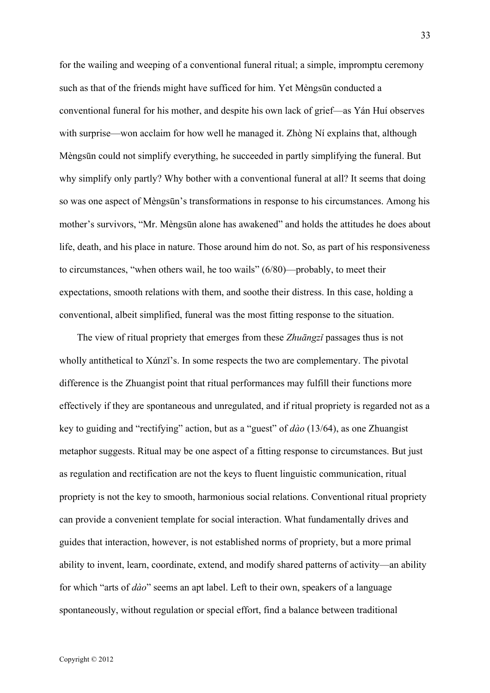for the wailing and weeping of a conventional funeral ritual; a simple, impromptu ceremony such as that of the friends might have sufficed for him. Yet Mèngsūn conducted a conventional funeral for his mother, and despite his own lack of grief—as Yán Huí observes with surprise—won acclaim for how well he managed it. Zhòng Ní explains that, although Mèngsūn could not simplify everything, he succeeded in partly simplifying the funeral. But why simplify only partly? Why bother with a conventional funeral at all? It seems that doing so was one aspect of Mèngsūn's transformations in response to his circumstances. Among his mother's survivors, "Mr. Mèngsūn alone has awakened" and holds the attitudes he does about life, death, and his place in nature. Those around him do not. So, as part of his responsiveness to circumstances, "when others wail, he too wails" (6/80)—probably, to meet their expectations, smooth relations with them, and soothe their distress. In this case, holding a conventional, albeit simplified, funeral was the most fitting response to the situation.

The view of ritual propriety that emerges from these *Zhuāngzǐ* passages thus is not wholly antithetical to Xúnzi's. In some respects the two are complementary. The pivotal difference is the Zhuangist point that ritual performances may fulfill their functions more effectively if they are spontaneous and unregulated, and if ritual propriety is regarded not as a key to guiding and "rectifying" action, but as a "guest" of *dào* (13/64), as one Zhuangist metaphor suggests. Ritual may be one aspect of a fitting response to circumstances. But just as regulation and rectification are not the keys to fluent linguistic communication, ritual propriety is not the key to smooth, harmonious social relations. Conventional ritual propriety can provide a convenient template for social interaction. What fundamentally drives and guides that interaction, however, is not established norms of propriety, but a more primal ability to invent, learn, coordinate, extend, and modify shared patterns of activity—an ability for which "arts of *dào*" seems an apt label. Left to their own, speakers of a language spontaneously, without regulation or special effort, find a balance between traditional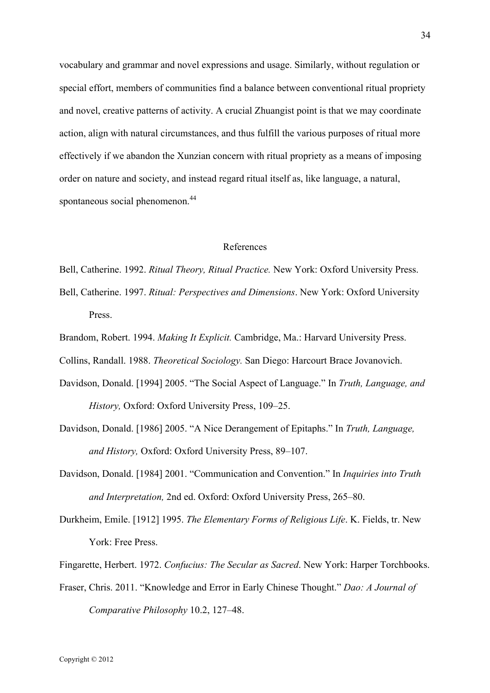vocabulary and grammar and novel expressions and usage. Similarly, without regulation or special effort, members of communities find a balance between conventional ritual propriety and novel, creative patterns of activity. A crucial Zhuangist point is that we may coordinate action, align with natural circumstances, and thus fulfill the various purposes of ritual more effectively if we abandon the Xunzian concern with ritual propriety as a means of imposing order on nature and society, and instead regard ritual itself as, like language, a natural, spontaneous social phenomenon.<sup>44</sup>

## References

Bell, Catherine. 1992. *Ritual Theory, Ritual Practice.* New York: Oxford University Press.

- Bell, Catherine. 1997. *Ritual: Perspectives and Dimensions*. New York: Oxford University Press.
- Brandom, Robert. 1994. *Making It Explicit.* Cambridge, Ma.: Harvard University Press.

Collins, Randall. 1988. *Theoretical Sociology.* San Diego: Harcourt Brace Jovanovich.

- Davidson, Donald. [1994] 2005. "The Social Aspect of Language." In *Truth, Language, and History,* Oxford: Oxford University Press, 109–25.
- Davidson, Donald. [1986] 2005. "A Nice Derangement of Epitaphs." In *Truth, Language, and History,* Oxford: Oxford University Press, 89–107.
- Davidson, Donald. [1984] 2001. "Communication and Convention." In *Inquiries into Truth and Interpretation,* 2nd ed. Oxford: Oxford University Press, 265–80.
- Durkheim, Emile. [1912] 1995. *The Elementary Forms of Religious Life*. K. Fields, tr. New York: Free Press.
- Fingarette, Herbert. 1972. *Confucius: The Secular as Sacred*. New York: Harper Torchbooks.
- Fraser, Chris. 2011. "Knowledge and Error in Early Chinese Thought." *Dao: A Journal of Comparative Philosophy* 10.2, 127–48.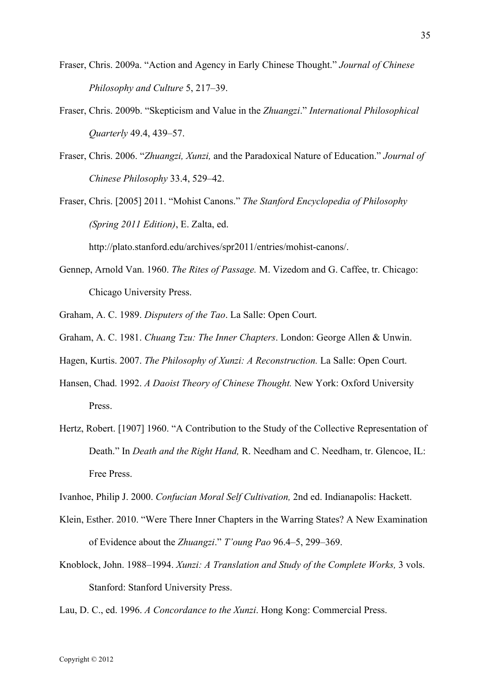- Fraser, Chris. 2009a. "Action and Agency in Early Chinese Thought." *Journal of Chinese Philosophy and Culture* 5, 217–39.
- Fraser, Chris. 2009b. "Skepticism and Value in the *Zhuangzi*." *International Philosophical Quarterly* 49.4, 439–57.
- Fraser, Chris. 2006. "*Zhuangzi, Xunzi,* and the Paradoxical Nature of Education." *Journal of Chinese Philosophy* 33.4, 529–42.
- Fraser, Chris. [2005] 2011. "Mohist Canons." *The Stanford Encyclopedia of Philosophy (Spring 2011 Edition)*, E. Zalta, ed.

http://plato.stanford.edu/archives/spr2011/entries/mohist-canons/.

- Gennep, Arnold Van. 1960. *The Rites of Passage.* M. Vizedom and G. Caffee, tr. Chicago: Chicago University Press.
- Graham, A. C. 1989. *Disputers of the Tao*. La Salle: Open Court.
- Graham, A. C. 1981. *Chuang Tzu: The Inner Chapters*. London: George Allen & Unwin.
- Hagen, Kurtis. 2007. *The Philosophy of Xunzi: A Reconstruction.* La Salle: Open Court.
- Hansen, Chad. 1992. *A Daoist Theory of Chinese Thought.* New York: Oxford University Press.
- Hertz, Robert. [1907] 1960. "A Contribution to the Study of the Collective Representation of Death." In *Death and the Right Hand,* R. Needham and C. Needham, tr. Glencoe, IL: Free Press.
- Ivanhoe, Philip J. 2000. *Confucian Moral Self Cultivation,* 2nd ed. Indianapolis: Hackett.
- Klein, Esther. 2010. "Were There Inner Chapters in the Warring States? A New Examination of Evidence about the *Zhuangzi*." *T'oung Pao* 96.4–5, 299–369.
- Knoblock, John. 1988–1994. *Xunzi: A Translation and Study of the Complete Works,* 3 vols. Stanford: Stanford University Press.

Lau, D. C., ed. 1996. *A Concordance to the Xunzi*. Hong Kong: Commercial Press.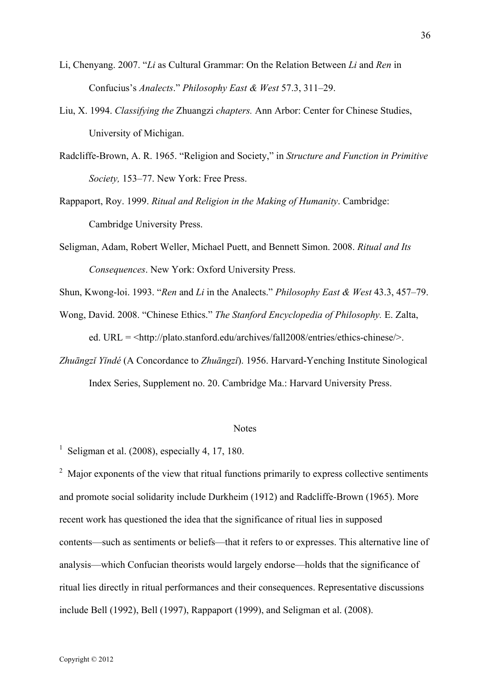- Li, Chenyang. 2007. "*Li* as Cultural Grammar: On the Relation Between *Li* and *Ren* in Confucius's *Analects*." *Philosophy East & West* 57.3, 311–29.
- Liu, X. 1994. *Classifying the* Zhuangzi *chapters.* Ann Arbor: Center for Chinese Studies, University of Michigan.
- Radcliffe-Brown, A. R. 1965. "Religion and Society," in *Structure and Function in Primitive Society,* 153–77. New York: Free Press.
- Rappaport, Roy. 1999. *Ritual and Religion in the Making of Humanity*. Cambridge: Cambridge University Press.
- Seligman, Adam, Robert Weller, Michael Puett, and Bennett Simon. 2008. *Ritual and Its Consequences*. New York: Oxford University Press.
- Shun, Kwong-loi. 1993. "*Ren* and *Li* in the Analects." *Philosophy East & West* 43.3, 457–79.
- Wong, David. 2008. "Chinese Ethics." *The Stanford Encyclopedia of Philosophy.* E. Zalta, ed. URL = <http://plato.stanford.edu/archives/fall2008/entries/ethics-chinese/>.
- *Zhuāngzǐ Yǐndé* (A Concordance to *Zhuāngzǐ*). 1956. Harvard-Yenching Institute Sinological Index Series, Supplement no. 20. Cambridge Ma.: Harvard University Press.

# **Notes**

<sup>1</sup> Seligman et al. (2008), especially 4, 17, 180.

 $2$  Major exponents of the view that ritual functions primarily to express collective sentiments and promote social solidarity include Durkheim (1912) and Radcliffe-Brown (1965). More recent work has questioned the idea that the significance of ritual lies in supposed contents—such as sentiments or beliefs—that it refers to or expresses. This alternative line of analysis—which Confucian theorists would largely endorse—holds that the significance of ritual lies directly in ritual performances and their consequences. Representative discussions include Bell (1992), Bell (1997), Rappaport (1999), and Seligman et al. (2008).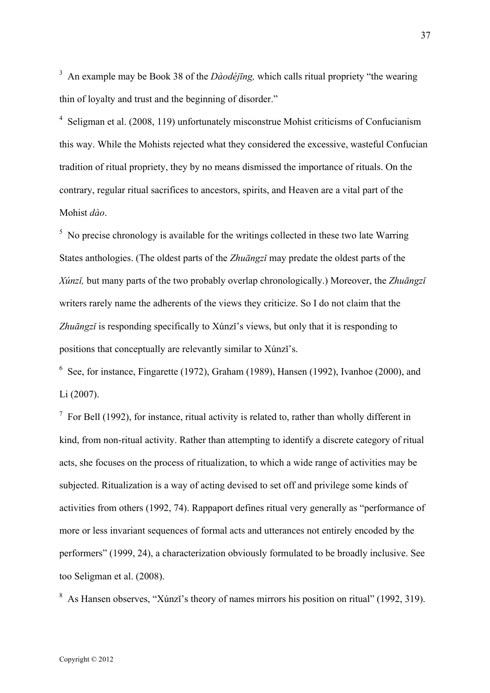3 An example may be Book 38 of the *Dàodéjīng,* which calls ritual propriety "the wearing thin of loyalty and trust and the beginning of disorder."

<sup>4</sup> Seligman et al. (2008, 119) unfortunately misconstrue Mohist criticisms of Confucianism this way. While the Mohists rejected what they considered the excessive, wasteful Confucian tradition of ritual propriety, they by no means dismissed the importance of rituals. On the contrary, regular ritual sacrifices to ancestors, spirits, and Heaven are a vital part of the Mohist *dào*.

<sup>5</sup> No precise chronology is available for the writings collected in these two late Warring States anthologies. (The oldest parts of the *Zhuāngzǐ* may predate the oldest parts of the *Xúnzǐ,* but many parts of the two probably overlap chronologically.) Moreover, the *Zhuāngzǐ* writers rarely name the adherents of the views they criticize. So I do not claim that the *Zhuāngzǐ* is responding specifically to Xúnzǐ's views, but only that it is responding to positions that conceptually are relevantly similar to Xúnzǐ's.

 $6$  See, for instance, Fingarette (1972), Graham (1989), Hansen (1992), Ivanhoe (2000), and Li (2007).

 $7$  For Bell (1992), for instance, ritual activity is related to, rather than wholly different in kind, from non-ritual activity. Rather than attempting to identify a discrete category of ritual acts, she focuses on the process of ritualization, to which a wide range of activities may be subjected. Ritualization is a way of acting devised to set off and privilege some kinds of activities from others (1992, 74). Rappaport defines ritual very generally as "performance of more or less invariant sequences of formal acts and utterances not entirely encoded by the performers" (1999, 24), a characterization obviously formulated to be broadly inclusive. See too Seligman et al. (2008).

 $8\text{ As Hansen observes, "Xúnzi's theory of names mirrors his position on ritual" (1992, 319).}$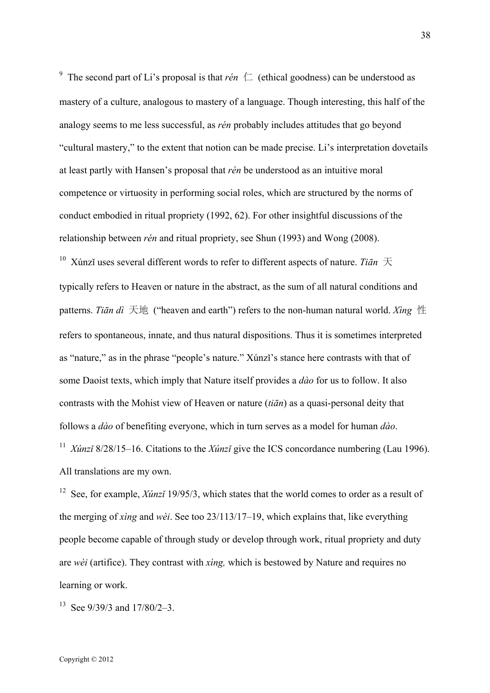<sup>9</sup> The second part of Li's proposal is that  $r \notin \mathbb{C}$  (ethical goodness) can be understood as mastery of a culture, analogous to mastery of a language. Though interesting, this half of the analogy seems to me less successful, as *rén* probably includes attitudes that go beyond "cultural mastery," to the extent that notion can be made precise. Li's interpretation dovetails at least partly with Hansen's proposal that *rén* be understood as an intuitive moral competence or virtuosity in performing social roles, which are structured by the norms of conduct embodied in ritual propriety (1992, 62). For other insightful discussions of the relationship between *rén* and ritual propriety, see Shun (1993) and Wong (2008).

<sup>10</sup> Xúnzi uses several different words to refer to different aspects of nature. Tiān  $\pm$ typically refers to Heaven or nature in the abstract, as the sum of all natural conditions and patterns. *Tiān dì* 天地 ("heaven and earth") refers to the non-human natural world. *Xìng* 性 refers to spontaneous, innate, and thus natural dispositions. Thus it is sometimes interpreted as "nature," as in the phrase "people's nature." Xúnzǐ's stance here contrasts with that of some Daoist texts, which imply that Nature itself provides a *dào* for us to follow. It also contrasts with the Mohist view of Heaven or nature (*tiān*) as a quasi-personal deity that follows a *dào* of benefiting everyone, which in turn serves as a model for human *dào*.

<sup>11</sup> *Xúnzǐ* 8/28/15–16. Citations to the *Xúnzǐ* give the ICS concordance numbering (Lau 1996). All translations are my own.

<sup>12</sup> See, for example, *Xúnzǐ* 19/95/3, which states that the world comes to order as a result of the merging of *xìng* and *wèi*. See too 23/113/17–19, which explains that, like everything people become capable of through study or develop through work, ritual propriety and duty are *wèi* (artifice). They contrast with *xìng,* which is bestowed by Nature and requires no learning or work.

<sup>13</sup> See 9/39/3 and  $17/80/2-3$ .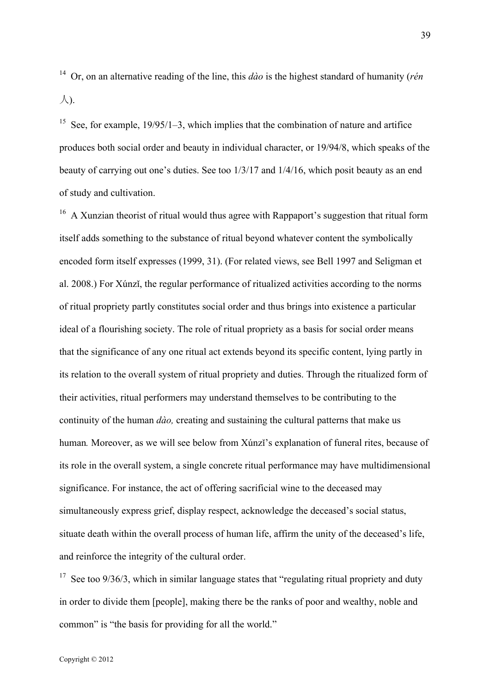14 Or, on an alternative reading of the line, this *dào* is the highest standard of humanity (*rén* 人).

<sup>15</sup> See, for example, 19/95/1–3, which implies that the combination of nature and artifice produces both social order and beauty in individual character, or 19/94/8, which speaks of the beauty of carrying out one's duties. See too 1/3/17 and 1/4/16, which posit beauty as an end of study and cultivation.

<sup>16</sup> A Xunzian theorist of ritual would thus agree with Rappaport's suggestion that ritual form itself adds something to the substance of ritual beyond whatever content the symbolically encoded form itself expresses (1999, 31). (For related views, see Bell 1997 and Seligman et al. 2008.) For Xúnzǐ, the regular performance of ritualized activities according to the norms of ritual propriety partly constitutes social order and thus brings into existence a particular ideal of a flourishing society. The role of ritual propriety as a basis for social order means that the significance of any one ritual act extends beyond its specific content, lying partly in its relation to the overall system of ritual propriety and duties. Through the ritualized form of their activities, ritual performers may understand themselves to be contributing to the continuity of the human *dào,* creating and sustaining the cultural patterns that make us human*.* Moreover, as we will see below from Xúnzǐ's explanation of funeral rites, because of its role in the overall system, a single concrete ritual performance may have multidimensional significance. For instance, the act of offering sacrificial wine to the deceased may simultaneously express grief, display respect, acknowledge the deceased's social status, situate death within the overall process of human life, affirm the unity of the deceased's life, and reinforce the integrity of the cultural order.

<sup>17</sup> See too  $9/36/3$ , which in similar language states that "regulating ritual propriety and duty in order to divide them [people], making there be the ranks of poor and wealthy, noble and common" is "the basis for providing for all the world."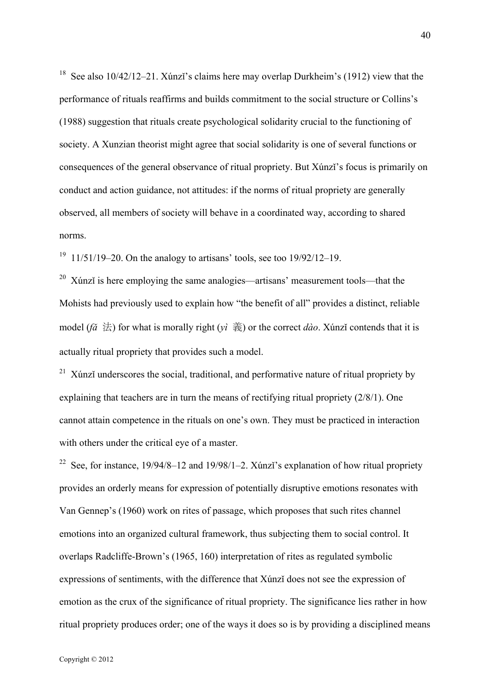<sup>18</sup> See also 10/42/12–21. Xúnzi's claims here may overlap Durkheim's (1912) view that the performance of rituals reaffirms and builds commitment to the social structure or Collins's (1988) suggestion that rituals create psychological solidarity crucial to the functioning of society. A Xunzian theorist might agree that social solidarity is one of several functions or consequences of the general observance of ritual propriety. But Xúnzǐ's focus is primarily on conduct and action guidance, not attitudes: if the norms of ritual propriety are generally observed, all members of society will behave in a coordinated way, according to shared norms.

<sup>19</sup> 11/51/19–20. On the analogy to artisans' tools, see too 19/92/12–19.

 $20\,$  Xúnzi is here employing the same analogies—artisans' measurement tools—that the Mohists had previously used to explain how "the benefit of all" provides a distinct, reliable model ( $f\tilde{a} \not\equiv$ ) for what is morally right ( $y\tilde{i} \not\equiv$ ) or the correct *dào*. Xúnzǐ contends that it is actually ritual propriety that provides such a model.

 $21$  Xúnzi underscores the social, traditional, and performative nature of ritual propriety by explaining that teachers are in turn the means of rectifying ritual propriety (2/8/1). One cannot attain competence in the rituals on one's own. They must be practiced in interaction with others under the critical eye of a master.

<sup>22</sup> See, for instance, 19/94/8–12 and 19/98/1–2. Xúnzi's explanation of how ritual propriety provides an orderly means for expression of potentially disruptive emotions resonates with Van Gennep's (1960) work on rites of passage, which proposes that such rites channel emotions into an organized cultural framework, thus subjecting them to social control. It overlaps Radcliffe-Brown's (1965, 160) interpretation of rites as regulated symbolic expressions of sentiments, with the difference that Xúnzǐ does not see the expression of emotion as the crux of the significance of ritual propriety. The significance lies rather in how ritual propriety produces order; one of the ways it does so is by providing a disciplined means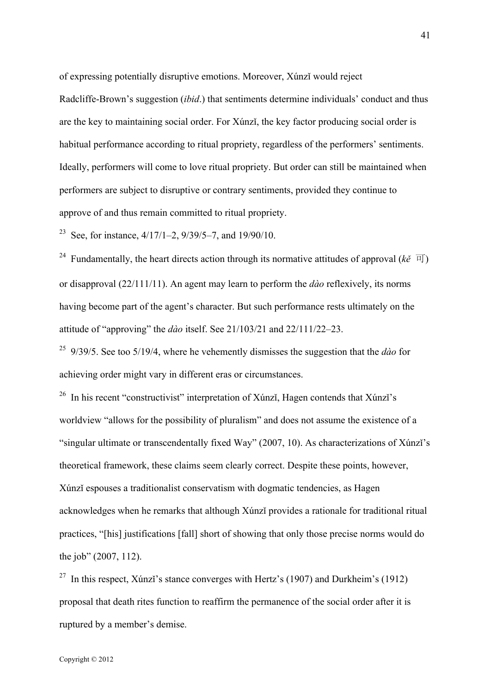of expressing potentially disruptive emotions. Moreover, Xúnzǐ would reject

Radcliffe-Brown's suggestion (*ibid*.) that sentiments determine individuals' conduct and thus are the key to maintaining social order. For Xúnzǐ, the key factor producing social order is habitual performance according to ritual propriety, regardless of the performers' sentiments. Ideally, performers will come to love ritual propriety. But order can still be maintained when performers are subject to disruptive or contrary sentiments, provided they continue to approve of and thus remain committed to ritual propriety.

<sup>23</sup> See, for instance,  $4/17/1-2$ ,  $9/39/5-7$ , and  $19/90/10$ .

<sup>24</sup> Fundamentally, the heart directs action through its normative attitudes of approval ( $k\tilde{e}$  可) or disapproval (22/111/11). An agent may learn to perform the *dào* reflexively, its norms having become part of the agent's character. But such performance rests ultimately on the attitude of "approving" the *dào* itself. See 21/103/21 and 22/111/22–23.

25 9/39/5. See too 5/19/4, where he vehemently dismisses the suggestion that the *dào* for achieving order might vary in different eras or circumstances.

<sup>26</sup> In his recent "constructivist" interpretation of Xúnzǐ, Hagen contends that Xúnzǐ's worldview "allows for the possibility of pluralism" and does not assume the existence of a "singular ultimate or transcendentally fixed Way" (2007, 10). As characterizations of Xúnzǐ's theoretical framework, these claims seem clearly correct. Despite these points, however, Xúnzǐ espouses a traditionalist conservatism with dogmatic tendencies, as Hagen acknowledges when he remarks that although Xúnzǐ provides a rationale for traditional ritual practices, "[his] justifications [fall] short of showing that only those precise norms would do the job" (2007, 112).

<sup>27</sup> In this respect, Xúnzi's stance converges with Hertz's (1907) and Durkheim's (1912) proposal that death rites function to reaffirm the permanence of the social order after it is ruptured by a member's demise.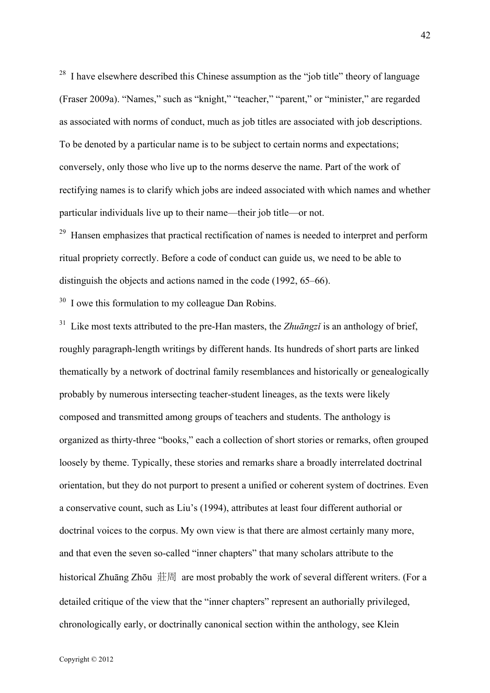$28$  I have elsewhere described this Chinese assumption as the "job title" theory of language (Fraser 2009a). "Names," such as "knight," "teacher," "parent," or "minister," are regarded as associated with norms of conduct, much as job titles are associated with job descriptions. To be denoted by a particular name is to be subject to certain norms and expectations; conversely, only those who live up to the norms deserve the name. Part of the work of rectifying names is to clarify which jobs are indeed associated with which names and whether particular individuals live up to their name—their job title—or not.

 $29$  Hansen emphasizes that practical rectification of names is needed to interpret and perform ritual propriety correctly. Before a code of conduct can guide us, we need to be able to distinguish the objects and actions named in the code (1992, 65–66).

 $30\,$  I owe this formulation to my colleague Dan Robins.

31 Like most texts attributed to the pre-Han masters, the *Zhuāngzǐ* is an anthology of brief, roughly paragraph-length writings by different hands. Its hundreds of short parts are linked thematically by a network of doctrinal family resemblances and historically or genealogically probably by numerous intersecting teacher-student lineages, as the texts were likely composed and transmitted among groups of teachers and students. The anthology is organized as thirty-three "books," each a collection of short stories or remarks, often grouped loosely by theme. Typically, these stories and remarks share a broadly interrelated doctrinal orientation, but they do not purport to present a unified or coherent system of doctrines. Even a conservative count, such as Liu's (1994), attributes at least four different authorial or doctrinal voices to the corpus. My own view is that there are almost certainly many more, and that even the seven so-called "inner chapters" that many scholars attribute to the historical Zhuāng Zhōu 莊周 are most probably the work of several different writers. (For a detailed critique of the view that the "inner chapters" represent an authorially privileged, chronologically early, or doctrinally canonical section within the anthology, see Klein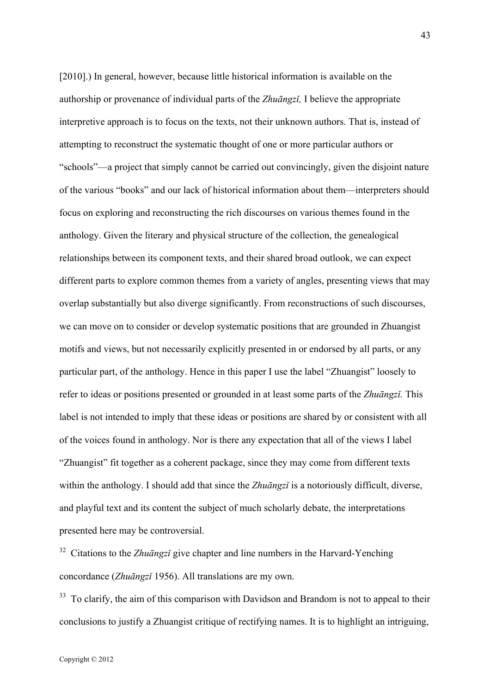[2010].) In general, however, because little historical information is available on the authorship or provenance of individual parts of the *Zhuāngzǐ,* I believe the appropriate interpretive approach is to focus on the texts, not their unknown authors. That is, instead of attempting to reconstruct the systematic thought of one or more particular authors or "schools"—a project that simply cannot be carried out convincingly, given the disjoint nature of the various "books" and our lack of historical information about them—interpreters should focus on exploring and reconstructing the rich discourses on various themes found in the anthology. Given the literary and physical structure of the collection, the genealogical relationships between its component texts, and their shared broad outlook, we can expect different parts to explore common themes from a variety of angles, presenting views that may overlap substantially but also diverge significantly. From reconstructions of such discourses, we can move on to consider or develop systematic positions that are grounded in Zhuangist motifs and views, but not necessarily explicitly presented in or endorsed by all parts, or any particular part, of the anthology. Hence in this paper I use the label "Zhuangist" loosely to refer to ideas or positions presented or grounded in at least some parts of the *Zhuāngzǐ.* This label is not intended to imply that these ideas or positions are shared by or consistent with all of the voices found in anthology. Nor is there any expectation that all of the views I label "Zhuangist" fit together as a coherent package, since they may come from different texts within the anthology. I should add that since the *Zhuāngzǐ* is a notoriously difficult, diverse, and playful text and its content the subject of much scholarly debate, the interpretations presented here may be controversial.

32 Citations to the *Zhuāngzǐ* give chapter and line numbers in the Harvard-Yenching concordance (*Zhuāngzǐ* 1956). All translations are my own.

 $33$  To clarify, the aim of this comparison with Davidson and Brandom is not to appeal to their conclusions to justify a Zhuangist critique of rectifying names. It is to highlight an intriguing,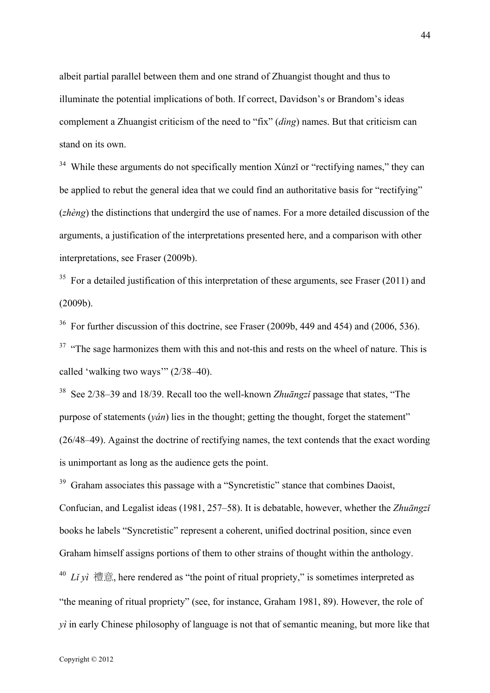albeit partial parallel between them and one strand of Zhuangist thought and thus to illuminate the potential implications of both. If correct, Davidson's or Brandom's ideas complement a Zhuangist criticism of the need to "fix" (*dìng*) names. But that criticism can stand on its own.

 $34$  While these arguments do not specifically mention Xúnzi or "rectifying names," they can be applied to rebut the general idea that we could find an authoritative basis for "rectifying" (*zhèng*) the distinctions that undergird the use of names. For a more detailed discussion of the arguments, a justification of the interpretations presented here, and a comparison with other interpretations, see Fraser (2009b).

 $35$  For a detailed justification of this interpretation of these arguments, see Fraser (2011) and (2009b).

<sup>36</sup> For further discussion of this doctrine, see Fraser (2009b, 449 and 454) and (2006, 536).

 $37$  "The sage harmonizes them with this and not-this and rests on the wheel of nature. This is called 'walking two ways'" (2/38–40).

38 See 2/38–39 and 18/39. Recall too the well-known *Zhuāngzǐ* passage that states, "The purpose of statements (*yán*) lies in the thought; getting the thought, forget the statement" (26/48–49). Against the doctrine of rectifying names, the text contends that the exact wording is unimportant as long as the audience gets the point.

<sup>39</sup> Graham associates this passage with a "Syncretistic" stance that combines Daoist, Confucian, and Legalist ideas (1981, 257–58). It is debatable, however, whether the *Zhuāngzǐ* books he labels "Syncretistic" represent a coherent, unified doctrinal position, since even Graham himself assigns portions of them to other strains of thought within the anthology. <sup>40</sup> *Li* vi 禮意, here rendered as "the point of ritual propriety," is sometimes interpreted as "the meaning of ritual propriety" (see, for instance, Graham 1981, 89). However, the role of *yi* in early Chinese philosophy of language is not that of semantic meaning, but more like that